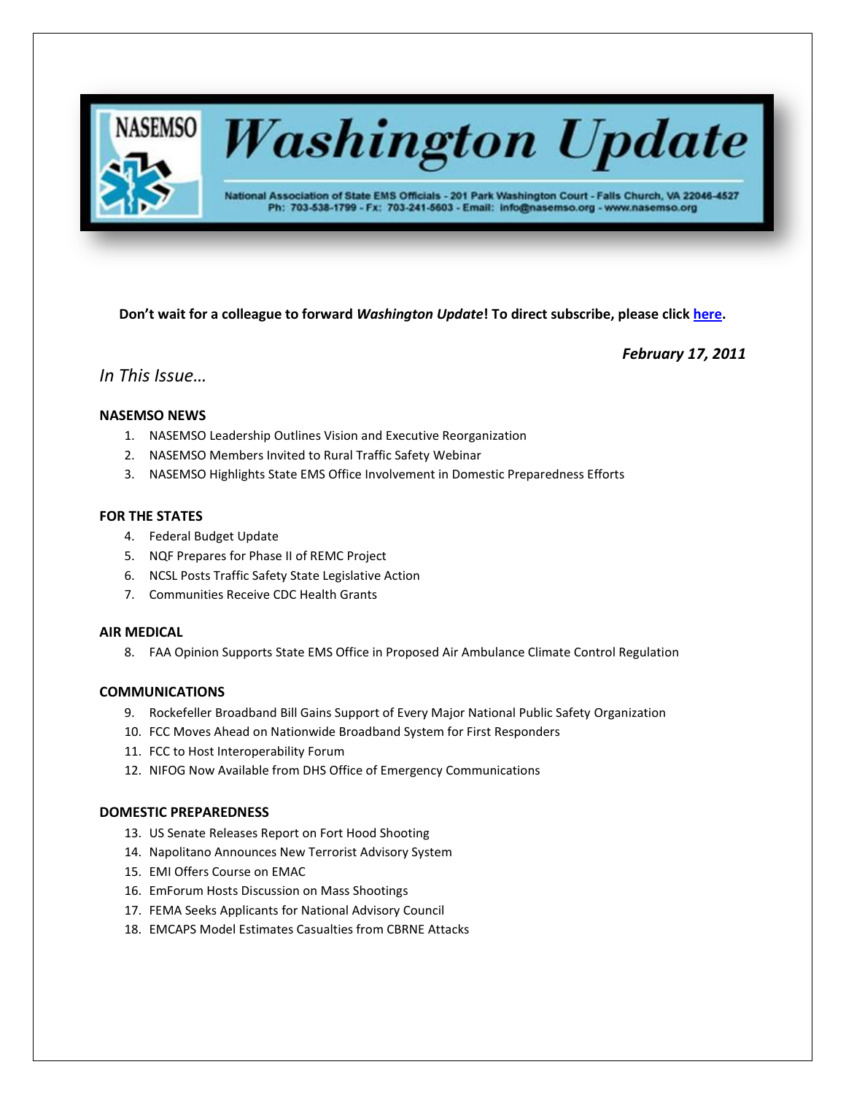

# **Washington Update**

National Association of State EMS Officials - 201 Park Washington Court - Falls Church, VA 22046-4527 Ph: 703-538-1799 - Fx: 703-241-5603 - Email: info@nasemso.org - www.nasemso.org

**Don't wait for a colleague to forward** *Washington Update***! To direct subscribe, please click [here.](http://lists.nasemso.org/read/all_forums/subscribe?name=wu%20)**

*February 17, 2011*

# *In This Issue…*

# **NASEMSO NEWS**

- 1. NASEMSO Leadership Outlines Vision and Executive Reorganization
- 2. NASEMSO Members Invited to Rural Traffic Safety Webinar
- 3. NASEMSO Highlights State EMS Office Involvement in Domestic Preparedness Efforts

# **FOR THE STATES**

- 4. Federal Budget Update
- 5. NQF Prepares for Phase II of REMC Project
- 6. NCSL Posts Traffic Safety State Legislative Action
- 7. Communities Receive CDC Health Grants

## **AIR MEDICAL**

8. FAA Opinion Supports State EMS Office in Proposed Air Ambulance Climate Control Regulation

#### **COMMUNICATIONS**

- 9. Rockefeller Broadband Bill Gains Support of Every Major National Public Safety Organization
- 10. FCC Moves Ahead on Nationwide Broadband System for First Responders
- 11. FCC to Host Interoperability Forum
- 12. NIFOG Now Available from DHS Office of Emergency Communications

# **DOMESTIC PREPAREDNESS**

- 13. US Senate Releases Report on Fort Hood Shooting
- 14. Napolitano Announces New Terrorist Advisory System
- 15. EMI Offers Course on EMAC
- 16. EmForum Hosts Discussion on Mass Shootings
- 17. FEMA Seeks Applicants for National Advisory Council
- 18. EMCAPS Model Estimates Casualties from CBRNE Attacks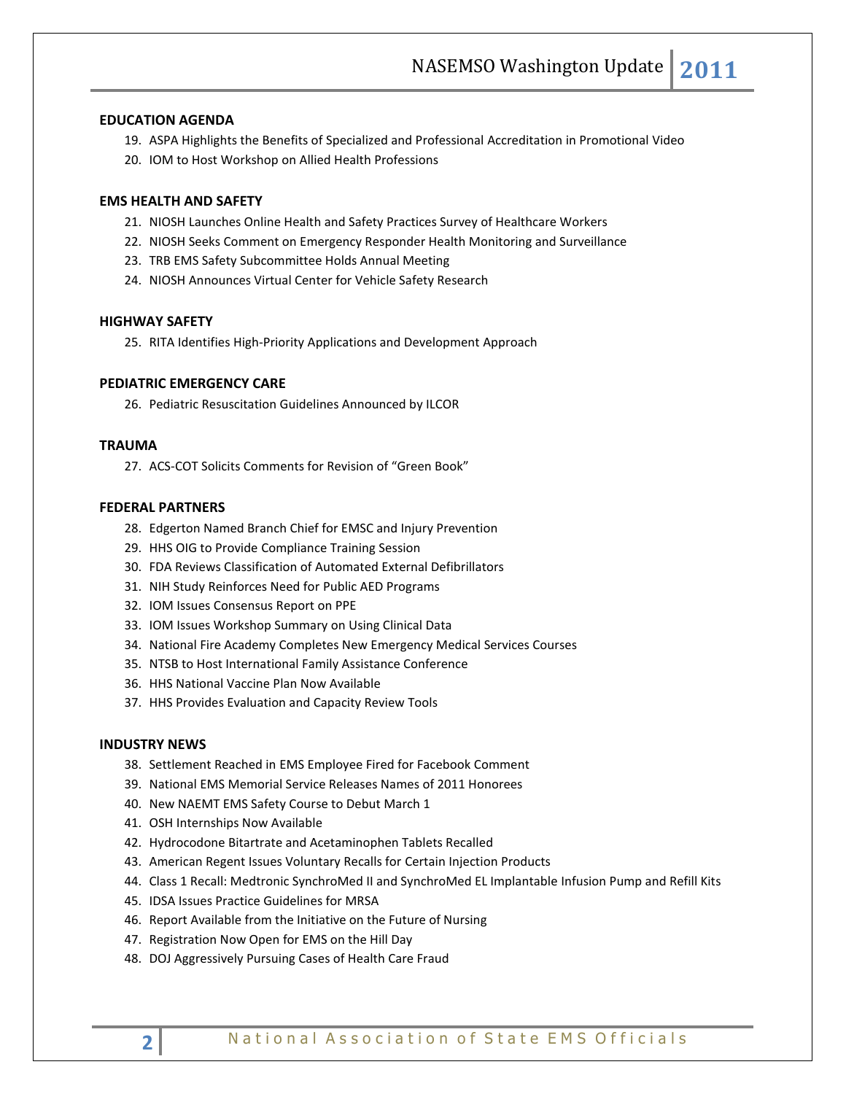## **EDUCATION AGENDA**

- 19. ASPA Highlights the Benefits of Specialized and Professional Accreditation in Promotional Video
- 20. IOM to Host Workshop on Allied Health Professions

## **EMS HEALTH AND SAFETY**

- 21. NIOSH Launches Online Health and Safety Practices Survey of Healthcare Workers
- 22. NIOSH Seeks Comment on Emergency Responder Health Monitoring and Surveillance
- 23. TRB EMS Safety Subcommittee Holds Annual Meeting
- 24. NIOSH Announces Virtual Center for Vehicle Safety Research

#### **HIGHWAY SAFETY**

25. RITA Identifies High-Priority Applications and Development Approach

# **PEDIATRIC EMERGENCY CARE**

26. Pediatric Resuscitation Guidelines Announced by ILCOR

# **TRAUMA**

27. ACS-COT Solicits Comments for Revision of "Green Book"

# **FEDERAL PARTNERS**

- 28. Edgerton Named Branch Chief for EMSC and Injury Prevention
- 29. HHS OIG to Provide Compliance Training Session
- 30. FDA Reviews Classification of Automated External Defibrillators
- 31. NIH Study Reinforces Need for Public AED Programs
- 32. IOM Issues Consensus Report on PPE
- 33. IOM Issues Workshop Summary on Using Clinical Data
- 34. National Fire Academy Completes New Emergency Medical Services Courses
- 35. NTSB to Host International Family Assistance Conference
- 36. HHS National Vaccine Plan Now Available
- 37. HHS Provides Evaluation and Capacity Review Tools

### **INDUSTRY NEWS**

- 38. Settlement Reached in EMS Employee Fired for Facebook Comment
- 39. National EMS Memorial Service Releases Names of 2011 Honorees
- 40. New NAEMT EMS Safety Course to Debut March 1
- 41. OSH Internships Now Available
- 42. Hydrocodone Bitartrate and Acetaminophen Tablets Recalled
- 43. American Regent Issues Voluntary Recalls for Certain Injection Products
- 44. Class 1 Recall: Medtronic SynchroMed II and SynchroMed EL Implantable Infusion Pump and Refill Kits
- 45. IDSA Issues Practice Guidelines for MRSA
- 46. Report Available from the Initiative on the Future of Nursing
- 47. Registration Now Open for EMS on the Hill Day
- 48. DOJ Aggressively Pursuing Cases of Health Care Fraud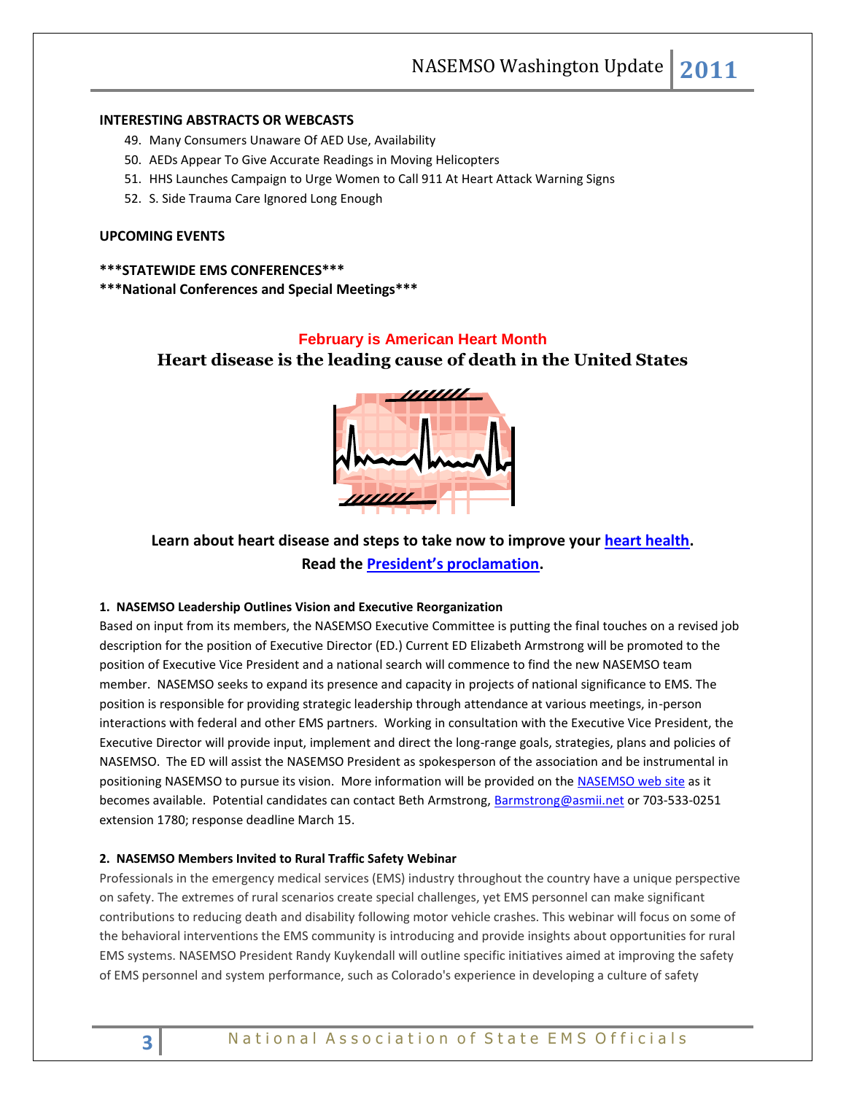NASEMSO Washington Update **2011**

# **INTERESTING ABSTRACTS OR WEBCASTS**

- 49. Many Consumers Unaware Of AED Use, Availability
- 50. AEDs Appear To Give Accurate Readings in Moving Helicopters
- 51. HHS Launches Campaign to Urge Women to Call 911 At Heart Attack Warning Signs
- 52. S. Side Trauma Care Ignored Long Enough

# **UPCOMING EVENTS**

#### **\*\*\*STATEWIDE EMS CONFERENCES\*\*\***

**\*\*\*National Conferences and Special Meetings\*\*\***

#### **February is American Heart Month**

**Heart disease is the leading cause of death in the United States**



**Learn about heart disease and steps to take now to improve your [heart health.](http://links.govdelivery.com/track?type=click&enid=bWFpbGluZ2lkPTExOTg2NjkmbWVzc2FnZWlkPVBSRC1CVUwtMTE5ODY2OSZkYXRhYmFzZWlkPTEwMDEmc2VyaWFsPTEyNzY1NjQzMTkmZW1haWxpZD1yb2JpbnNvbkBuYXNlbXNvLm9yZyZ1c2VyaWQ9cm9iaW5zb25AbmFzZW1zby5vcmcmZmw9JmV4dHJhPU11bHRpdmFyaWF0ZUlkPSYmJg==&&&100&&&http://www.americanheart.org/) Read the [President's proclamation](http://links.govdelivery.com/track?type=click&enid=bWFpbGluZ2lkPTExOTg2NjkmbWVzc2FnZWlkPVBSRC1CVUwtMTE5ODY2OSZkYXRhYmFzZWlkPTEwMDEmc2VyaWFsPTEyNzY1NjQzMTkmZW1haWxpZD1yb2JpbnNvbkBuYXNlbXNvLm9yZyZ1c2VyaWQ9cm9iaW5zb25AbmFzZW1zby5vcmcmZmw9JmV4dHJhPU11bHRpdmFyaWF0ZUlkPSYmJg==&&&101&&&http://www.whitehouse.gov/the-press-office/2011/01/31/presidential-proclamation-american-heart-month-2011).**

# **1. NASEMSO Leadership Outlines Vision and Executive Reorganization**

Based on input from its members, the NASEMSO Executive Committee is putting the final touches on a revised job description for the position of Executive Director (ED.) Current ED Elizabeth Armstrong will be promoted to the position of Executive Vice President and a national search will commence to find the new NASEMSO team member. NASEMSO seeks to expand its presence and capacity in projects of national significance to EMS. The position is responsible for providing strategic leadership through attendance at various meetings, in-person interactions with federal and other EMS partners. Working in consultation with the Executive Vice President, the Executive Director will provide input, implement and direct the long-range goals, strategies, plans and policies of NASEMSO. The ED will assist the NASEMSO President as spokesperson of the association and be instrumental in positioning NASEMSO to pursue its vision. More information will be provided on the [NASEMSO web site](http://www.nasemso.org/) as it becomes available. Potential candidates can contact Beth Armstrong, [Barmstrong@asmii.net](mailto:Barmstrong@asmii.net) or 703-533-0251 extension 1780; response deadline March 15.

#### **2. NASEMSO Members Invited to Rural Traffic Safety Webinar**

Professionals in the emergency medical services (EMS) industry throughout the country have a unique perspective on safety. The extremes of rural scenarios create special challenges, yet EMS personnel can make significant contributions to reducing death and disability following motor vehicle crashes. This webinar will focus on some of the behavioral interventions the EMS community is introducing and provide insights about opportunities for rural EMS systems. NASEMSO President Randy Kuykendall will outline specific initiatives aimed at improving the safety of EMS personnel and system performance, such as Colorado's experience in developing a culture of safety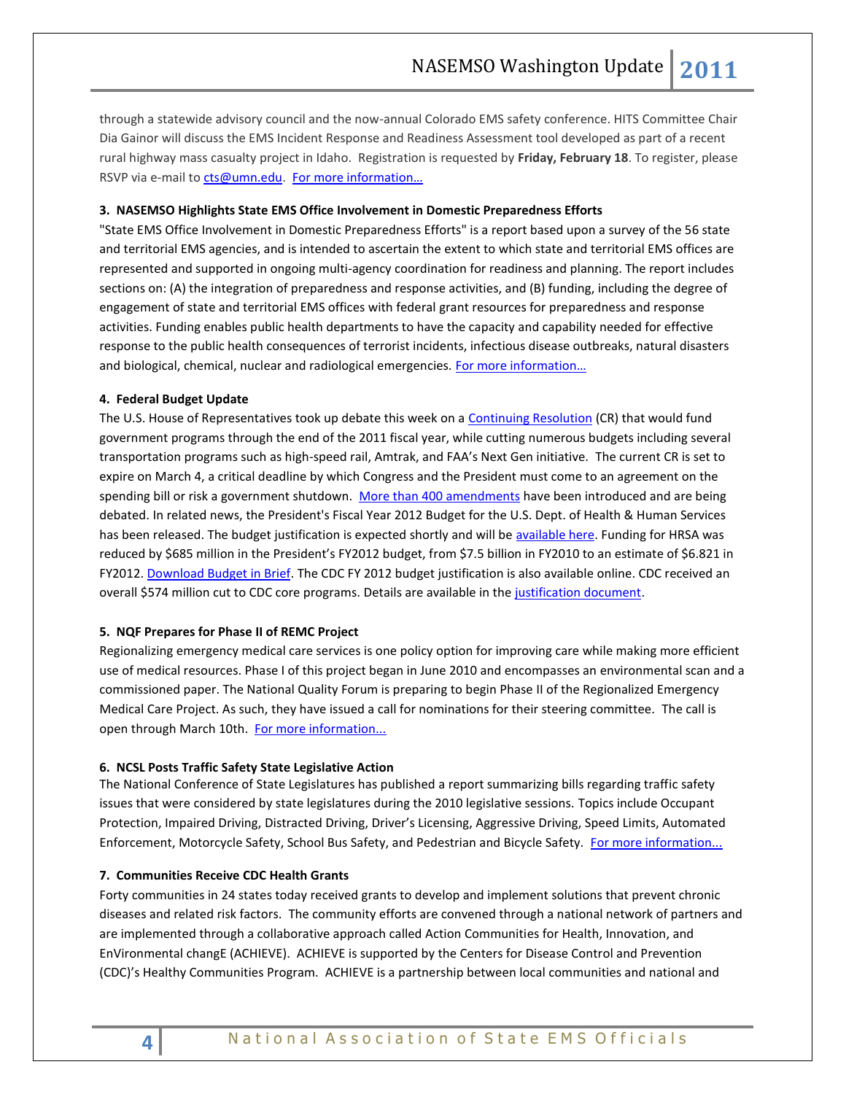through a statewide advisory council and the now-annual Colorado EMS safety conference. HITS Committee Chair Dia Gainor will discuss the EMS Incident Response and Readiness Assessment tool developed as part of a recent rural highway mass casualty project in Idaho. Registration is requested by **Friday, February 18**. To register, please RSVP via e-mail t[o cts@umn.edu.](mailto:cts@umn.edu) For more information...

#### **3. NASEMSO Highlights State EMS Office Involvement in Domestic Preparedness Efforts**

"State EMS Office Involvement in Domestic Preparedness Efforts" is a report based upon a survey of the 56 state and territorial EMS agencies, and is intended to ascertain the extent to which state and territorial EMS offices are represented and supported in ongoing multi-agency coordination for readiness and planning. The report includes sections on: (A) the integration of preparedness and response activities, and (B) funding, including the degree of engagement of state and territorial EMS offices with federal grant resources for preparedness and response activities. Funding enables public health departments to have the capacity and capability needed for effective response to the public health consequences of terrorist incidents, infectious disease outbreaks, natural disasters and biological, chemical, nuclear and radiological emergencies. [For more information…](http://www.nasemso.org/Projects/DomesticPreparedness/documents/2010_DP_Report_FINAL_Version.pdf)

#### **4. Federal Budget Update**

The U.S. House of Representatives took up debate this week on a [Continuing Resolution](http://www.rules.house.gov/Media/file/PDF_112_1/legislativetext/2011crapprops/AppropCRFinal_xml.pdf) (CR) that would fund government programs through the end of the 2011 fiscal year, while cutting numerous budgets including several transportation programs such as high-speed rail, Amtrak, and FAA's Next Gen initiative. The current CR is set to expire on March 4, a critical deadline by which Congress and the President must come to an agreement on the spending bill or risk a government shutdown. [More than 400 amendments](http://www.gpo.gov/fdsys/pkg/CREC-2011-02-14/pdf/CREC-2011-02-14-pt1-PgH776-3.pdf) have been introduced and are being debated. In related news, the President's Fiscal Year 2012 Budget for the U.S. Dept. of Health & Human Services has been released. The budget justification is expected shortly and will b[e available here.](http://www.hhs.gov/about/hhsbudget.html#HHSBudgetinBriefandPerformanceHighlights) Funding for HRSA was reduced by \$685 million in the President's FY2012 budget, from \$7.5 billion in FY2010 to an estimate of \$6.821 in FY2012[. Download Budget in Brief.](http://www.nasemso.org/documents/fy2012bib.pdf) The CDC FY 2012 budget justification is also available online. CDC received an overall \$574 million cut to CDC core programs. Details are available in the [justification document.](http://www.cdc.gov/fmo/topic/Budget%20Information/appropriations_budget_form_pdf/FY2012_CDC_CJ_Final.pdf) 

#### **5. NQF Prepares for Phase II of REMC Project**

Regionalizing emergency medical care services is one policy option for improving care while making more efficient use of medical resources. Phase I of this project began in June 2010 and encompasses an environmental scan and a commissioned paper. The National Quality Forum is preparing to begin Phase II of the Regionalized Emergency Medical Care Project. As such, they have issued a call for nominations for their steering committee. The call is open through March 10th. [For more information...](http://www.qualityforum.org/Projects/n-r/Regionalized_Emergency_Care/Regionalized_Emergency_Care__Phase_1.aspx?section=CallforNominations2011-02-082011-03-10)

## **6. NCSL Posts Traffic Safety State Legislative Action**

The National Conference of State Legislatures has published a report summarizing bills regarding traffic safety issues that were considered by state legislatures during the 2010 legislative sessions. Topics include Occupant Protection, Impaired Driving, Distracted Driving, Driver's Licensing, Aggressive Driving, Speed Limits, Automated Enforcement, Motorcycle Safety, School Bus Safety, and Pedestrian and Bicycle Safety. [For more information...](http://www.ncsl.org/default.aspx?TabId=21947)

#### **7. Communities Receive CDC Health Grants**

Forty communities in 24 states today received grants to develop and implement solutions that prevent chronic diseases and related risk factors. The community efforts are convened through a national network of partners and are implemented through a collaborative approach called Action Communities for Health, Innovation, and EnVironmental changE (ACHIEVE). ACHIEVE is supported by the Centers for Disease Control and Prevention (CDC)'s Healthy Communities Program. ACHIEVE is a partnership between local communities and national and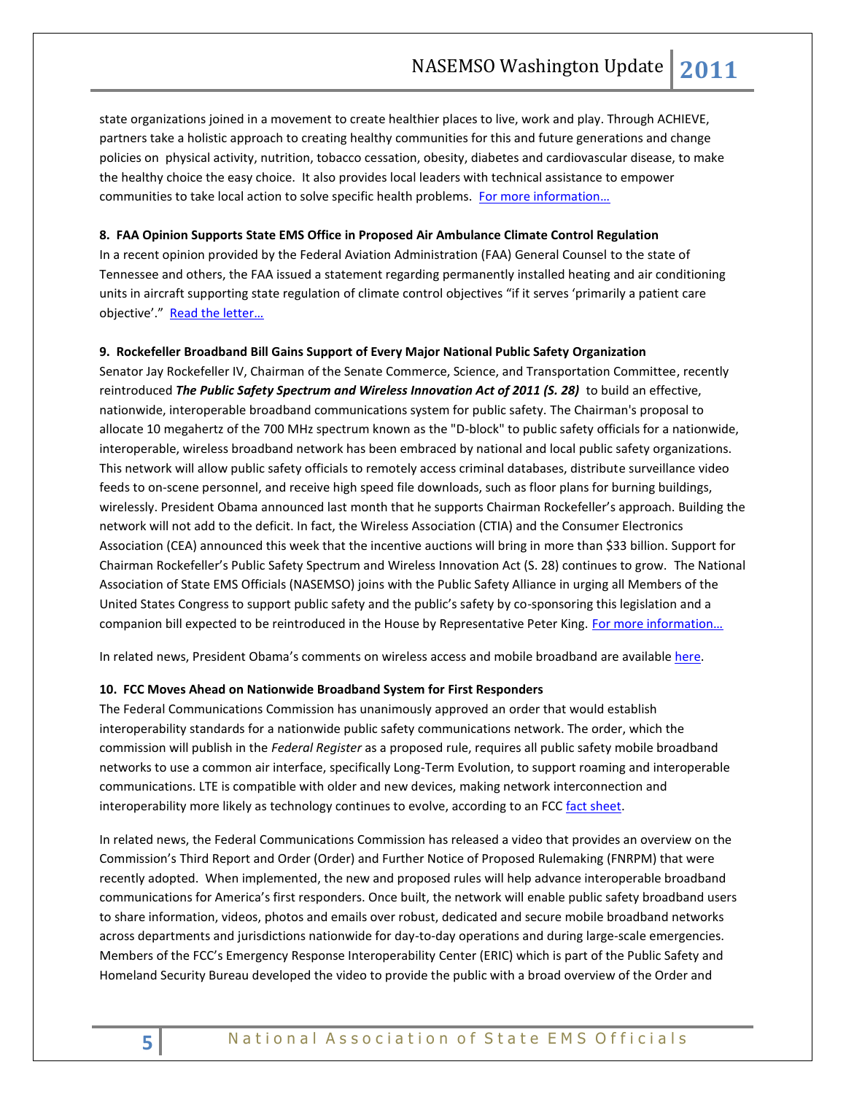state organizations joined in a movement to create healthier places to live, work and play. Through ACHIEVE, partners take a holistic approach to creating healthy communities for this and future generations and change policies on physical activity, nutrition, tobacco cessation, obesity, diabetes and cardiovascular disease, to make the healthy choice the easy choice. It also provides local leaders with technical assistance to empower communities to take local action to solve specific health problems. For more information...

# **8. FAA Opinion Supports State EMS Office in Proposed Air Ambulance Climate Control Regulation**

In a recent opinion provided by the Federal Aviation Administration (FAA) General Counsel to the state of Tennessee and others, the FAA issued a statement regarding permanently installed heating and air conditioning units in aircraft supporting state regulation of climate control objectives "if it serves 'primarily a patient care objective'." Read the letter...

#### **9. Rockefeller Broadband Bill Gains Support of Every Major National Public Safety Organization**

Senator Jay Rockefeller IV, Chairman of the Senate Commerce, Science, and Transportation Committee, recently reintroduced *The Public Safety Spectrum and Wireless Innovation Act of 2011 (S. 28)* to build an effective, nationwide, interoperable broadband communications system for public safety. The Chairman's proposal to allocate 10 megahertz of the 700 MHz spectrum known as the "D-block" to public safety officials for a nationwide, interoperable, wireless broadband network has been embraced by national and local public safety organizations. This network will allow public safety officials to remotely access criminal databases, distribute surveillance video feeds to on-scene personnel, and receive high speed file downloads, such as floor plans for burning buildings, wirelessly. President Obama announced last month that he supports Chairman Rockefeller's approach. Building the network will not add to the deficit. In fact, the Wireless Association (CTIA) and the Consumer Electronics Association (CEA) announced this week that the incentive auctions will bring in more than \$33 billion. Support for Chairman Rockefeller's Public Safety Spectrum and Wireless Innovation Act (S. 28) continues to grow. The National Association of State EMS Officials (NASEMSO) joins with the Public Safety Alliance in urging all Members of the United States Congress to support public safety and the public's safety by co-sponsoring this legislation and a companion bill expected to be reintroduced in the House by Representative Peter King. For more information...

In related news, President Obama's comments on wireless access and mobile broadband are availabl[e here.](http://www.whitehouse.gov/the-press-office/2011/02/10/president-obama-details-plan-win-future-through-expanded-wireless-access)

#### **10. FCC Moves Ahead on Nationwide Broadband System for First Responders**

The Federal Communications Commission has unanimously approved an order that would establish interoperability standards for a nationwide public safety communications network. The order, which the commission will publish in the *Federal Register* as a proposed rule, requires all public safety mobile broadband networks to use a common air interface, specifically Long-Term Evolution, to support roaming and interoperable communications. LTE is compatible with older and new devices, making network interconnection and interoperability more likely as technology continues to evolve, according to an FC[C fact sheet.](http://www.fcc.gov/pshs/docs/LTE_Info_Sheet_09082010.pdf)

In related news, the Federal Communications Commission has released a video that provides an overview on the Commission's Third Report and Order (Order) and Further Notice of Proposed Rulemaking (FNRPM) that were recently adopted. When implemented, the new and proposed rules will help advance interoperable broadband communications for America's first responders. Once built, the network will enable public safety broadband users to share information, videos, photos and emails over robust, dedicated and secure mobile broadband networks across departments and jurisdictions nationwide for day-to-day operations and during large-scale emergencies. Members of the FCC's Emergency Response Interoperability Center (ERIC) which is part of the Public Safety and Homeland Security Bureau developed the video to provide the public with a broad overview of the Order and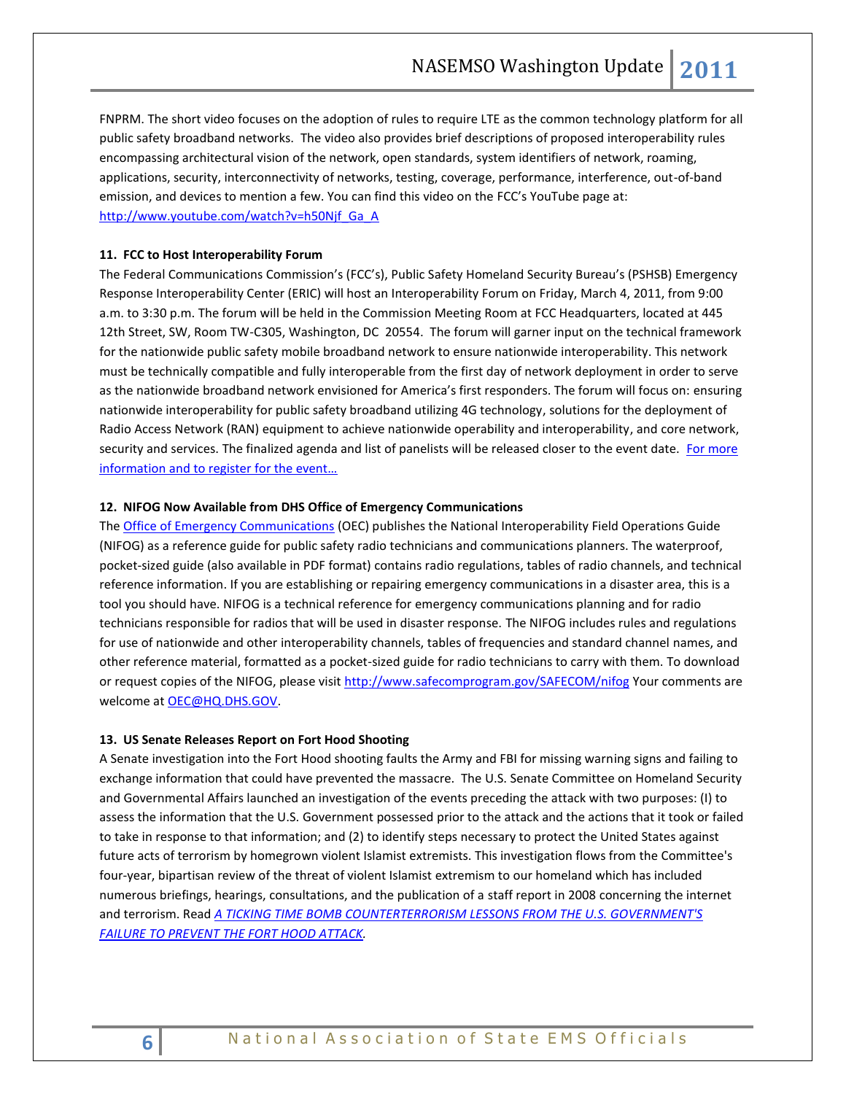FNPRM. The short video focuses on the adoption of rules to require LTE as the common technology platform for all public safety broadband networks. The video also provides brief descriptions of proposed interoperability rules encompassing architectural vision of the network, open standards, system identifiers of network, roaming, applications, security, interconnectivity of networks, testing, coverage, performance, interference, out-of-band emission, and devices to mention a few. You can find this video on the FCC's YouTube page at: [http://www.youtube.com/watch?v=h50Njf\\_Ga\\_A](http://www.youtube.com/watch?v=h50Njf_Ga_A)

#### **11. FCC to Host Interoperability Forum**

The Federal Communications Commission's (FCC's), Public Safety Homeland Security Bureau's (PSHSB) Emergency Response Interoperability Center (ERIC) will host an Interoperability Forum on Friday, March 4, 2011, from 9:00 a.m. to 3:30 p.m. The forum will be held in the Commission Meeting Room at FCC Headquarters, located at 445 12th Street, SW, Room TW-C305, Washington, DC 20554. The forum will garner input on the technical framework for the nationwide public safety mobile broadband network to ensure nationwide interoperability. This network must be technically compatible and fully interoperable from the first day of network deployment in order to serve as the nationwide broadband network envisioned for America's first responders. The forum will focus on: ensuring nationwide interoperability for public safety broadband utilizing 4G technology, solutions for the deployment of Radio Access Network (RAN) equipment to achieve nationwide operability and interoperability, and core network, security and services. The finalized agenda and list of panelists will be released closer to the event date. For more [information and to register for the event…](http://www.fcc.gov/pshs/event-registration.html)

#### **12. NIFOG Now Available from DHS Office of Emergency Communications**

Th[e Office of Emergency Communications](http://www.dhs.gov/xabout/structure/gc_1189774174005.shtm) (OEC) publishes the National Interoperability Field Operations Guide (NIFOG) as a reference guide for public safety radio technicians and communications planners. The waterproof, pocket-sized guide (also available in PDF format) contains radio regulations, tables of radio channels, and technical reference information. If you are establishing or repairing emergency communications in a disaster area, this is a tool you should have. NIFOG is a technical reference for emergency communications planning and for radio technicians responsible for radios that will be used in disaster response. The NIFOG includes rules and regulations for use of nationwide and other interoperability channels, tables of frequencies and standard channel names, and other reference material, formatted as a pocket-sized guide for radio technicians to carry with them. To download or request copies of the NIFOG, please visit <http://www.safecomprogram.gov/SAFECOM/nifog> Your comments are welcome a[t OEC@HQ.DHS.GOV.](mailto:OEC@HQ.DHS.GOV)

#### **13. US Senate Releases Report on Fort Hood Shooting**

A Senate investigation into the Fort Hood shooting faults the Army and FBI for missing warning signs and failing to exchange information that could have prevented the massacre. The U.S. Senate Committee on Homeland Security and Governmental Affairs launched an investigation of the events preceding the attack with two purposes: (I) to assess the information that the U.S. Government possessed prior to the attack and the actions that it took or failed to take in response to that information; and (2) to identify steps necessary to protect the United States against future acts of terrorism by homegrown violent Islamist extremists. This investigation flows from the Committee's four-year, bipartisan review of the threat of violent Islamist extremism to our homeland which has included numerous briefings, hearings, consultations, and the publication of a staff report in 2008 concerning the internet and terrorism. Read *[A TICKING TIME BOMB COUNTERTERRORISM LESSONS FROM THE U.S. GOVERNMENT'S](http://s3.documentcloud.org/documents/31713/senate-committe-on-homeland-security-report-on-fort-hood-shooting.pdf)  [FAILURE TO PREVENT THE FORT HOOD ATTACK.](http://s3.documentcloud.org/documents/31713/senate-committe-on-homeland-security-report-on-fort-hood-shooting.pdf)*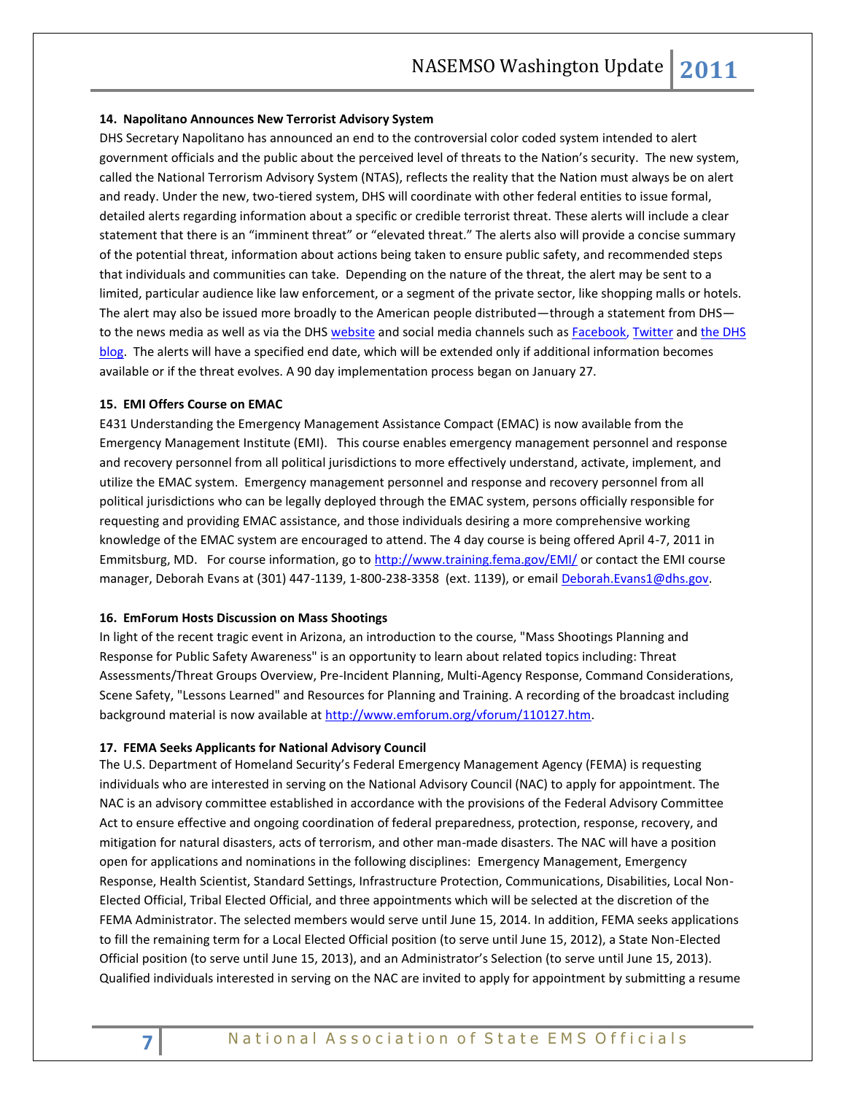#### **14. Napolitano Announces New Terrorist Advisory System**

DHS Secretary Napolitano has announced an end to the controversial color coded system intended to alert government officials and the public about the perceived level of threats to the Nation's security. The new system, called the National Terrorism Advisory System (NTAS), reflects the reality that the Nation must always be on alert and ready. Under the new, two-tiered system, DHS will coordinate with other federal entities to issue formal, detailed alerts regarding information about a specific or credible terrorist threat. These alerts will include a clear statement that there is an "imminent threat" or "elevated threat." The alerts also will provide a concise summary of the potential threat, information about actions being taken to ensure public safety, and recommended steps that individuals and communities can take. Depending on the nature of the threat, the alert may be sent to a limited, particular audience like law enforcement, or a segment of the private sector, like shopping malls or hotels. The alert may also be issued more broadly to the American people distributed—through a statement from DHS— to the news media as well as via the DH[S website](http://www.dhs.gov/index.shtm) and social media channels such as [Facebook,](http://www.facebook.com/homelandsecurity) [Twitter](http://twitter.com/dhsjournal/) and the DHS [blog.](http://blog.dhs.gov/) The alerts will have a specified end date, which will be extended only if additional information becomes available or if the threat evolves. A 90 day implementation process began on January 27.

#### **15. EMI Offers Course on EMAC**

E431 Understanding the Emergency Management Assistance Compact (EMAC) is now available from the Emergency Management Institute (EMI). This course enables emergency management personnel and response and recovery personnel from all political jurisdictions to more effectively understand, activate, implement, and utilize the EMAC system. Emergency management personnel and response and recovery personnel from all political jurisdictions who can be legally deployed through the EMAC system, persons officially responsible for requesting and providing EMAC assistance, and those individuals desiring a more comprehensive working knowledge of the EMAC system are encouraged to attend. The 4 day course is being offered April 4-7, 2011 in Emmitsburg, MD. For course information, go to<http://www.training.fema.gov/EMI/> or contact the EMI course manager, Deborah Evans at (301) 447-1139, 1-800-238-3358 (ext. 1139), or emai[l Deborah.Evans1@dhs.gov.](mailto:Deborah.Evans1@dhs.gov)

#### **16. EmForum Hosts Discussion on Mass Shootings**

In light of the recent tragic event in Arizona, an introduction to the course, "Mass Shootings Planning and Response for Public Safety Awareness" is an opportunity to learn about related topics including: Threat Assessments/Threat Groups Overview, Pre-Incident Planning, Multi-Agency Response, Command Considerations, Scene Safety, "Lessons Learned" and Resources for Planning and Training. A recording of the broadcast including background material is now available a[t http://www.emforum.org/vforum/110127.htm.](http://www.emforum.org/vforum/110127.htm)

#### **17. FEMA Seeks Applicants for National Advisory Council**

The U.S. Department of Homeland Security's Federal Emergency Management Agency (FEMA) is requesting individuals who are interested in serving on the National Advisory Council (NAC) to apply for appointment. The NAC is an advisory committee established in accordance with the provisions of the Federal Advisory Committee Act to ensure effective and ongoing coordination of federal preparedness, protection, response, recovery, and mitigation for natural disasters, acts of terrorism, and other man-made disasters. The NAC will have a position open for applications and nominations in the following disciplines: Emergency Management, Emergency Response, Health Scientist, Standard Settings, Infrastructure Protection, Communications, Disabilities, Local Non-Elected Official, Tribal Elected Official, and three appointments which will be selected at the discretion of the FEMA Administrator. The selected members would serve until June 15, 2014. In addition, FEMA seeks applications to fill the remaining term for a Local Elected Official position (to serve until June 15, 2012), a State Non-Elected Official position (to serve until June 15, 2013), and an Administrator's Selection (to serve until June 15, 2013). Qualified individuals interested in serving on the NAC are invited to apply for appointment by submitting a resume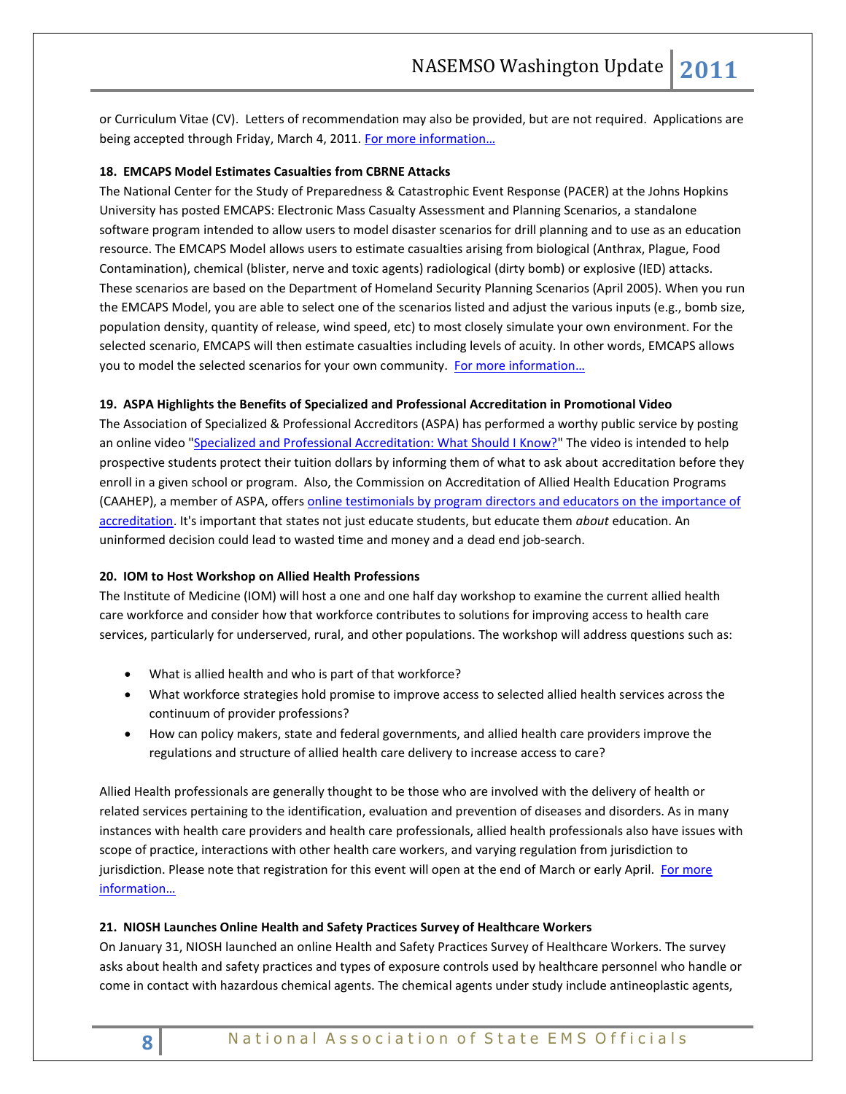or Curriculum Vitae (CV). Letters of recommendation may also be provided, but are not required. Applications are being accepted through Friday, March 4, 2011. For more information...

#### **18. EMCAPS Model Estimates Casualties from CBRNE Attacks**

The National Center for the Study of Preparedness & Catastrophic Event Response (PACER) at the Johns Hopkins University has posted EMCAPS: Electronic Mass Casualty Assessment and Planning Scenarios, a standalone software program intended to allow users to model disaster scenarios for drill planning and to use as an education resource. The EMCAPS Model allows users to estimate casualties arising from biological (Anthrax, Plague, Food Contamination), chemical (blister, nerve and toxic agents) radiological (dirty bomb) or explosive (IED) attacks. These scenarios are based on the Department of Homeland Security Planning Scenarios (April 2005). When you run the EMCAPS Model, you are able to select one of the scenarios listed and adjust the various inputs (e.g., bomb size, population density, quantity of release, wind speed, etc) to most closely simulate your own environment. For the selected scenario, EMCAPS will then estimate casualties including levels of acuity. In other words, EMCAPS allows you to model the selected scenarios for your own community. For more information...

#### **19. ASPA Highlights the Benefits of Specialized and Professional Accreditation in Promotional Video**

The Association of Specialized & Professional Accreditors (ASPA) has performed a worthy public service by posting an online video ["Specialized and Professional Accreditation: What Should I Know?"](http://www.youtube.com/watch?v=2zBdyBNwwmo&feature=youtu.be) The video is intended to help prospective students protect their tuition dollars by informing them of what to ask about accreditation before they enroll in a given school or program. Also, the Commission on Accreditation of Allied Health Education Programs (CAAHEP), a member of ASPA, offers online testimonials by program directors and educators on the importance of [accreditation.](http://www.caahep.org/Content.aspx?ID=57) It's important that states not just educate students, but educate them *about* education. An uninformed decision could lead to wasted time and money and a dead end job-search.

#### **20. IOM to Host Workshop on Allied Health Professions**

The Institute of Medicine (IOM) will host a one and one half day workshop to examine the current allied health care workforce and consider how that workforce contributes to solutions for improving access to health care services, particularly for underserved, rural, and other populations. The workshop will address questions such as:

- What is allied health and who is part of that workforce?
- What workforce strategies hold promise to improve access to selected allied health services across the continuum of provider professions?
- How can policy makers, state and federal governments, and allied health care providers improve the regulations and structure of allied health care delivery to increase access to care?

Allied Health professionals are generally thought to be those who are involved with the delivery of health or related services pertaining to the identification, evaluation and prevention of diseases and disorders. As in many instances with health care providers and health care professionals, allied health professionals also have issues with scope of practice, interactions with other health care workers, and varying regulation from jurisdiction to jurisdiction. Please note that registration for this event will open at the end of March or early April. For more [information…](http://www.iom.edu/Activities/Workforce/AlliedHealthWorkshop.aspx)

#### **21. NIOSH Launches Online Health and Safety Practices Survey of Healthcare Workers**

On January 31, NIOSH launched an online Health and Safety Practices Survey of Healthcare Workers. The survey asks about health and safety practices and types of exposure controls used by healthcare personnel who handle or come in contact with hazardous chemical agents. The chemical agents under study include antineoplastic agents,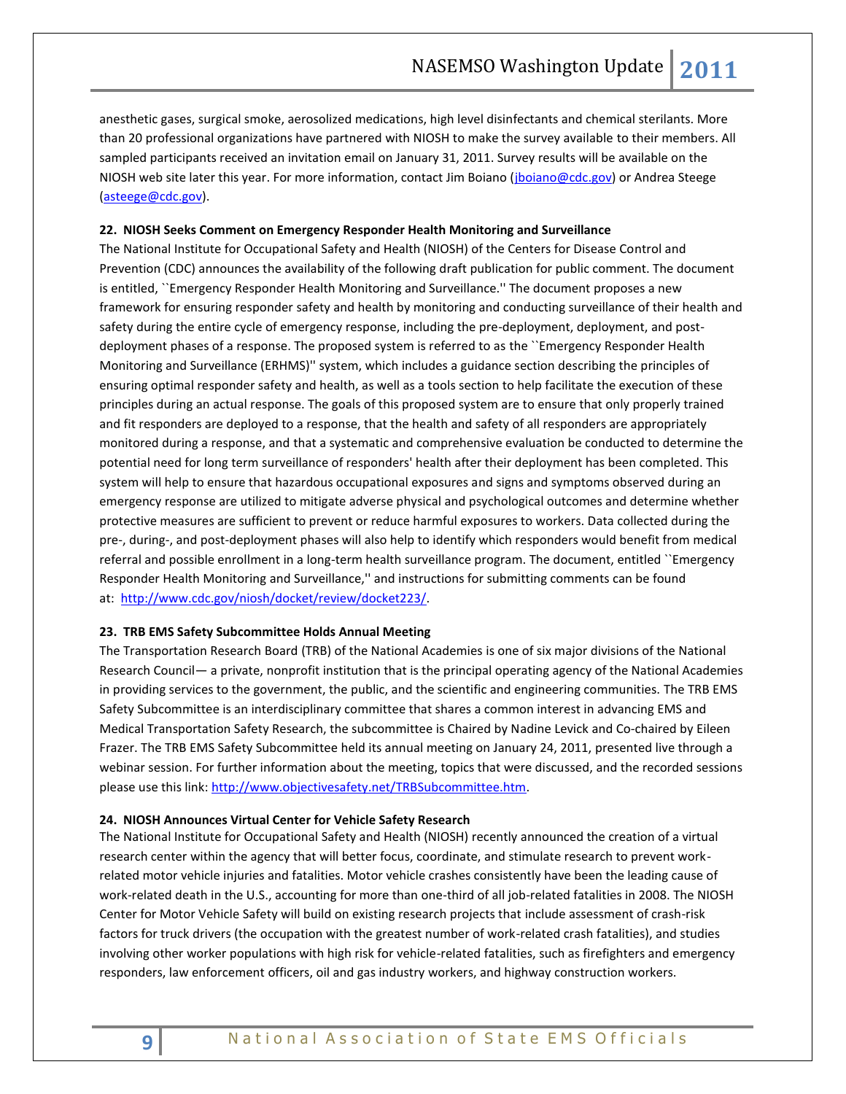anesthetic gases, surgical smoke, aerosolized medications, high level disinfectants and chemical sterilants. More than 20 professional organizations have partnered with NIOSH to make the survey available to their members. All sampled participants received an invitation email on January 31, 2011. Survey results will be available on the NIOSH web site later this year. For more information, contact Jim Boiano [\(jboiano@cdc.gov\)](mailto:jboiano@cdc.gov) or Andrea Steege [\(asteege@cdc.gov\)](mailto:asteege@cdc.gov).

#### **22. NIOSH Seeks Comment on Emergency Responder Health Monitoring and Surveillance**

The National Institute for Occupational Safety and Health (NIOSH) of the Centers for Disease Control and Prevention (CDC) announces the availability of the following draft publication for public comment. The document is entitled, ``Emergency Responder Health Monitoring and Surveillance.'' The document proposes a new framework for ensuring responder safety and health by monitoring and conducting surveillance of their health and safety during the entire cycle of emergency response, including the pre-deployment, deployment, and postdeployment phases of a response. The proposed system is referred to as the ``Emergency Responder Health Monitoring and Surveillance (ERHMS)'' system, which includes a guidance section describing the principles of ensuring optimal responder safety and health, as well as a tools section to help facilitate the execution of these principles during an actual response. The goals of this proposed system are to ensure that only properly trained and fit responders are deployed to a response, that the health and safety of all responders are appropriately monitored during a response, and that a systematic and comprehensive evaluation be conducted to determine the potential need for long term surveillance of responders' health after their deployment has been completed. This system will help to ensure that hazardous occupational exposures and signs and symptoms observed during an emergency response are utilized to mitigate adverse physical and psychological outcomes and determine whether protective measures are sufficient to prevent or reduce harmful exposures to workers. Data collected during the pre-, during-, and post-deployment phases will also help to identify which responders would benefit from medical referral and possible enrollment in a long-term health surveillance program. The document, entitled ``Emergency Responder Health Monitoring and Surveillance,'' and instructions for submitting comments can be found at: [http://www.cdc.gov/niosh/docket/review/docket223/.](http://www.cdc.gov/niosh/docket/review/docket223/)

#### **23. TRB EMS Safety Subcommittee Holds Annual Meeting**

The Transportation Research Board (TRB) of the National Academies is one of six major divisions of the National Research Council— a private, nonprofit institution that is the principal operating agency of the National Academies in providing services to the government, the public, and the scientific and engineering communities. The TRB EMS Safety Subcommittee is an interdisciplinary committee that shares a common interest in advancing EMS and Medical Transportation Safety Research, the subcommittee is Chaired by Nadine Levick and Co-chaired by Eileen Frazer. The TRB EMS Safety Subcommittee held its annual meeting on January 24, 2011, presented live through a webinar session. For further information about the meeting, topics that were discussed, and the recorded sessions please use this link: [http://www.objectivesafety.net/TRBSubcommittee.htm.](http://www.objectivesafety.net/TRBSubcommittee.htm)

#### **24. NIOSH Announces Virtual Center for Vehicle Safety Research**

The National Institute for Occupational Safety and Health (NIOSH) recently announced the creation of a virtual research center within the agency that will better focus, coordinate, and stimulate research to prevent workrelated motor vehicle injuries and fatalities. Motor vehicle crashes consistently have been the leading cause of work-related death in the U.S., accounting for more than one-third of all job-related fatalities in 2008. The NIOSH Center for Motor Vehicle Safety will build on existing research projects that include assessment of crash-risk factors for truck drivers (the occupation with the greatest number of work-related crash fatalities), and studies involving other worker populations with high risk for vehicle-related fatalities, such as firefighters and emergency responders, law enforcement officers, oil and gas industry workers, and highway construction workers.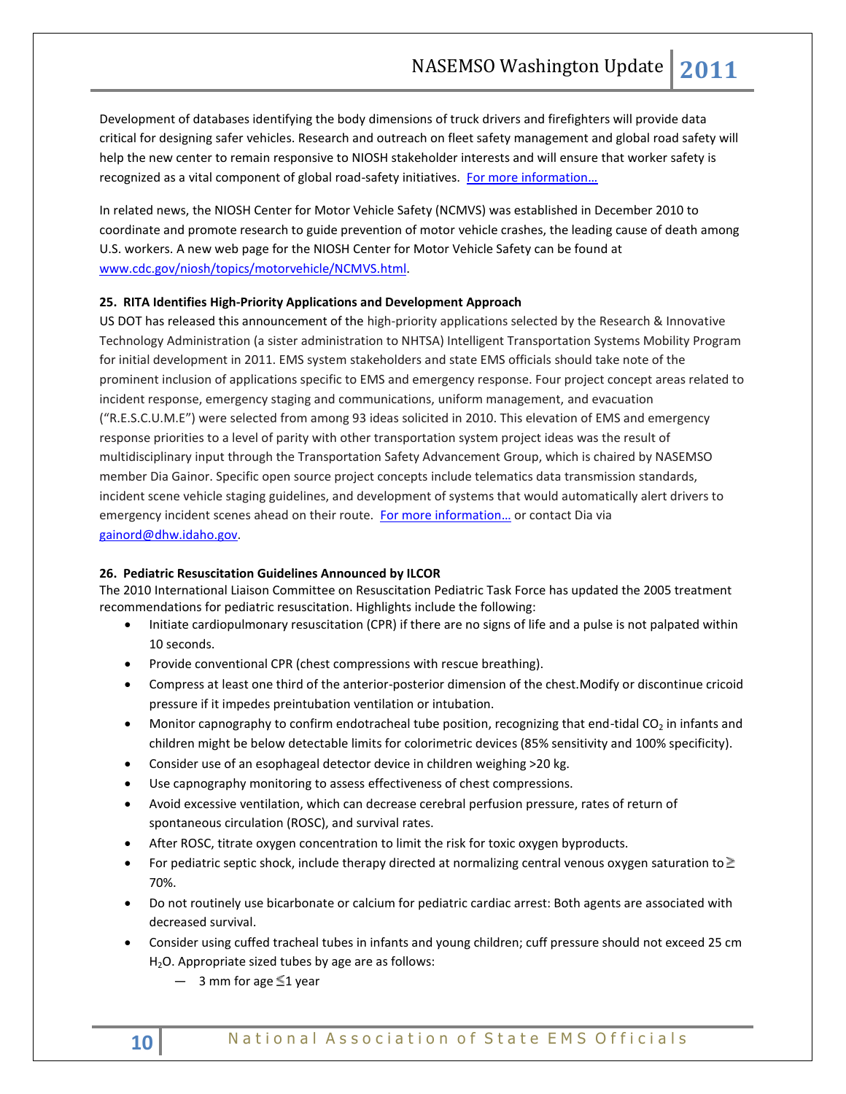Development of databases identifying the body dimensions of truck drivers and firefighters will provide data critical for designing safer vehicles. Research and outreach on fleet safety management and global road safety will help the new center to remain responsive to NIOSH stakeholder interests and will ensure that worker safety is recognized as a vital component of global road-safety initiatives. For more information...

In related news, the NIOSH Center for Motor Vehicle Safety (NCMVS) was established in December 2010 to coordinate and promote research to guide prevention of motor vehicle crashes, the leading cause of death among U.S. workers. A new web page for the NIOSH Center for Motor Vehicle Safety can be found at [www.cdc.gov/niosh/topics/motorvehicle/NCMVS.html.](http://www.cdc.gov/niosh/topics/motorvehicle/NCMVS.html)

#### **25. RITA Identifies High-Priority Applications and Development Approach**

US DOT has released this announcement of the high-priority applications selected by the Research & Innovative Technology Administration (a sister administration to NHTSA) Intelligent Transportation Systems Mobility Program for initial development in 2011. EMS system stakeholders and state EMS officials should take note of the prominent inclusion of applications specific to EMS and emergency response. Four project concept areas related to incident response, emergency staging and communications, uniform management, and evacuation ("R.E.S.C.U.M.E") were selected from among 93 ideas solicited in 2010. This elevation of EMS and emergency response priorities to a level of parity with other transportation system project ideas was the result of multidisciplinary input through the Transportation Safety Advancement Group, which is chaired by NASEMSO member Dia Gainor. Specific open source project concepts include telematics data transmission standards, incident scene vehicle staging guidelines, and development of systems that would automatically alert drivers to emergency incident scenes ahead on their route. [For more information](http://www.its.dot.gov/press/2011/mobility_app.htm)... or contact Dia via [gainord@dhw.idaho.gov.](mailto:gainord@dhw.idaho.gov)

# **26. Pediatric Resuscitation Guidelines Announced by ILCOR**

The 2010 International Liaison Committee on Resuscitation Pediatric Task Force has updated the 2005 treatment recommendations for pediatric resuscitation. Highlights include the following:

- Initiate cardiopulmonary resuscitation (CPR) if there are no signs of life and a pulse is not palpated within 10 seconds.
- Provide conventional CPR (chest compressions with rescue breathing).
- Compress at least one third of the anterior-posterior dimension of the chest.Modify or discontinue cricoid pressure if it impedes preintubation ventilation or intubation.
- Monitor capnography to confirm endotracheal tube position, recognizing that end-tidal  $CO<sub>2</sub>$  in infants and children might be below detectable limits for colorimetric devices (85% sensitivity and 100% specificity).
- Consider use of an esophageal detector device in children weighing >20 kg.
- Use capnography monitoring to assess effectiveness of chest compressions.
- Avoid excessive ventilation, which can decrease cerebral perfusion pressure, rates of return of spontaneous circulation (ROSC), and survival rates.
- After ROSC, titrate oxygen concentration to limit the risk for toxic oxygen byproducts.
- For pediatric septic shock, include therapy directed at normalizing central venous oxygen saturation to  $\geq$ 70%.
- Do not routinely use bicarbonate or calcium for pediatric cardiac arrest: Both agents are associated with decreased survival.
- Consider using cuffed tracheal tubes in infants and young children; cuff pressure should not exceed 25 cm  $H<sub>2</sub>O$ . Appropriate sized tubes by age are as follows:
	- $-$  3 mm for age  $\leq$ 1 year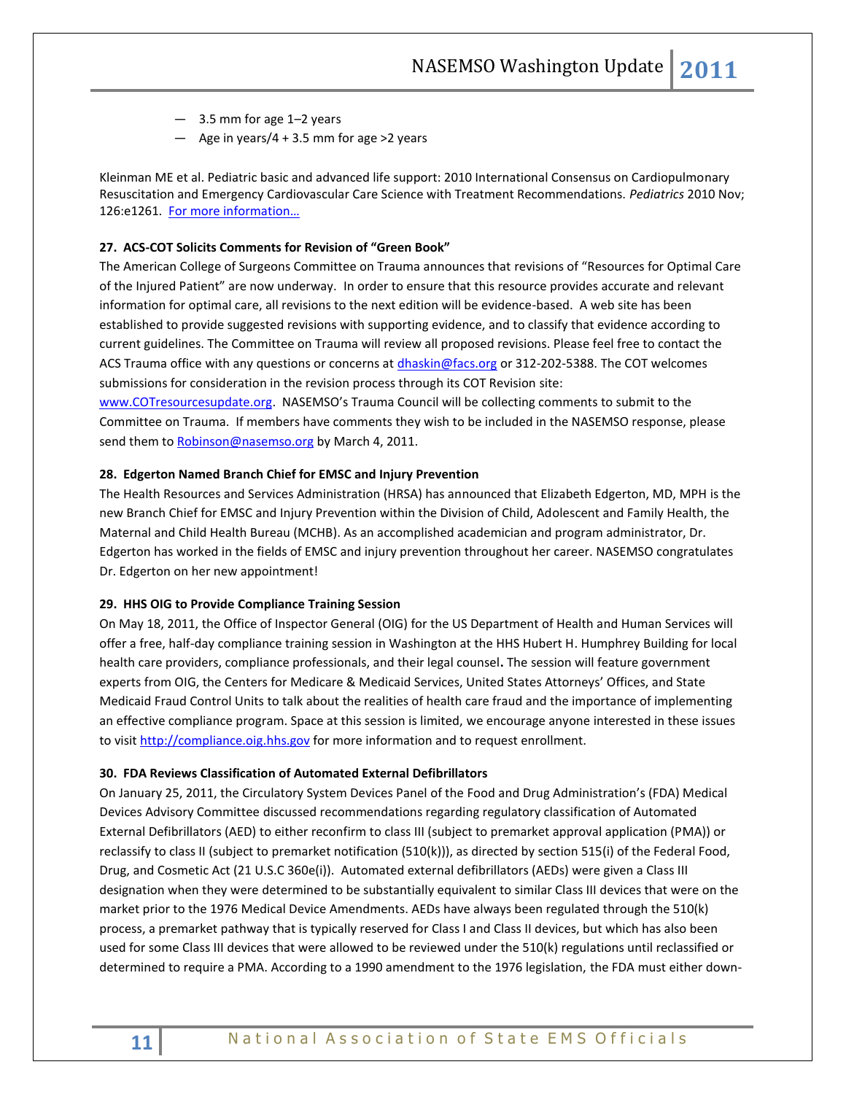- 3.5 mm for age 1–2 years
- $-$  Age in years/4 + 3.5 mm for age >2 years

Kleinman ME et al. Pediatric basic and advanced life support: 2010 International Consensus on Cardiopulmonary Resuscitation and Emergency Cardiovascular Care Science with Treatment Recommendations. *Pediatrics* 2010 Nov; 126:e1261. [For more information…](http://pediatrics.aappublications.org/cgi/content/extract/126/5/e1261)

#### **27. ACS-COT Solicits Comments for Revision of "Green Book"**

The American College of Surgeons Committee on Trauma announces that revisions of "Resources for Optimal Care of the Injured Patient" are now underway. In order to ensure that this resource provides accurate and relevant information for optimal care, all revisions to the next edition will be evidence-based. A web site has been established to provide suggested revisions with supporting evidence, and to classify that evidence according to current guidelines. The Committee on Trauma will review all proposed revisions. Please feel free to contact the ACS Trauma office with any questions or concerns at *dhaskin@facs.org* or 312-202-5388. The COT welcomes submissions for consideration in the revision process through its COT Revision site:

[www.COTresourcesupdate.org.](http://www.cotresourcesupdate.org/) NASEMSO's Trauma Council will be collecting comments to submit to the Committee on Trauma. If members have comments they wish to be included in the NASEMSO response, please send them to [Robinson@nasemso.org](mailto:Robinson@nasemso.org) by March 4, 2011.

## **28. Edgerton Named Branch Chief for EMSC and Injury Prevention**

The Health Resources and Services Administration (HRSA) has announced that Elizabeth Edgerton, MD, MPH is the new Branch Chief for EMSC and Injury Prevention within the Division of Child, Adolescent and Family Health, the Maternal and Child Health Bureau (MCHB). As an accomplished academician and program administrator, Dr. Edgerton has worked in the fields of EMSC and injury prevention throughout her career. NASEMSO congratulates Dr. Edgerton on her new appointment!

#### **29. HHS OIG to Provide Compliance Training Session**

On May 18, 2011, the Office of Inspector General (OIG) for the US Department of Health and Human Services will offer a free, half-day compliance training session in Washington at the HHS Hubert H. Humphrey Building for local health care providers, compliance professionals, and their legal counsel**.** The session will feature government experts from OIG, the Centers for Medicare & Medicaid Services, United States Attorneys' Offices, and State Medicaid Fraud Control Units to talk about the realities of health care fraud and the importance of implementing an effective compliance program. Space at this session is limited, we encourage anyone interested in these issues to visi[t http://compliance.oig.hhs.gov](http://info3.dcbar.org/t/141760/30487874/2431/0/) for more information and to request enrollment.

# **30. FDA Reviews Classification of Automated External Defibrillators**

On January 25, 2011, the Circulatory System Devices Panel of the Food and Drug Administration's (FDA) Medical Devices Advisory Committee discussed recommendations regarding regulatory classification of Automated External Defibrillators (AED) to either reconfirm to class III (subject to premarket approval application (PMA)) or reclassify to class II (subject to premarket notification (510(k))), as directed by section 515(i) of the Federal Food, Drug, and Cosmetic Act (21 U.S.C 360e(i)). Automated external defibrillators (AEDs) were given a Class III designation when they were determined to be substantially equivalent to similar Class III devices that were on the market prior to the 1976 Medical Device Amendments. AEDs have always been regulated through the 510(k) process, a premarket pathway that is typically reserved for Class I and Class II devices, but which has also been used for some Class III devices that were allowed to be reviewed under the 510(k) regulations until reclassified or determined to require a PMA. According to a 1990 amendment to the 1976 legislation, the FDA must either down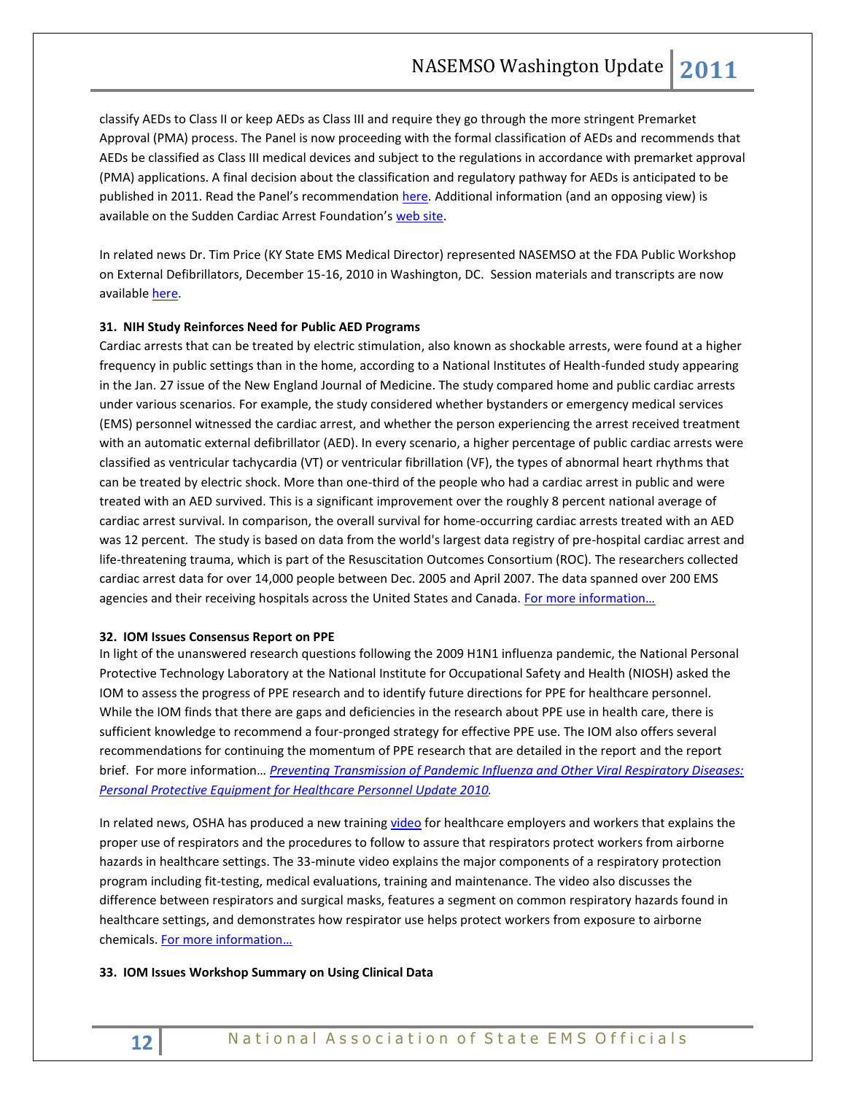classify AEDs to Class II or keep AEDs as Class III and require they go through the more stringent Premarket Approval (PMA) process. The Panel is now proceeding with the formal classification of AEDs and recommends that AEDs be classified as Class III medical devices and subject to the regulations in accordance with premarket approval (PMA) applications. A final decision about the classification and regulatory pathway for AEDs is anticipated to be published in 2011. Read the Panel's recommendation [here.](http://www.fda.gov/downloads/AdvisoryCommittees/CommitteesMeetingMaterials/MedicalDevices/MedicalDevicesAdvisoryCommittee/CirculatorySystemDevicesPanel/UCM240579.pdf) Additional information (and an opposing view) is available on the Sudden Cardiac Arrest Foundation's [web site.](http://www.sca-aware.org/sca-news/fda-panel-considers-classification-of-aeds-as-high-risk-devices)

In related news Dr. Tim Price (KY State EMS Medical Director) represented NASEMSO at the FDA Public Workshop on External Defibrillators, December 15-16, 2010 in Washington, DC. Session materials and transcripts are now available [here.](file:///I:/ACTIVE%20FOLDERS/WU/2011/WU%20February%2015,%202011.docx)

# **31. NIH Study Reinforces Need for Public AED Programs**

Cardiac arrests that can be treated by electric stimulation, also known as shockable arrests, were found at a higher frequency in public settings than in the home, according to a National Institutes of Health-funded study appearing in the Jan. 27 issue of the New England Journal of Medicine. The study compared home and public cardiac arrests under various scenarios. For example, the study considered whether bystanders or emergency medical services (EMS) personnel witnessed the cardiac arrest, and whether the person experiencing the arrest received treatment with an automatic external defibrillator (AED). In every scenario, a higher percentage of public cardiac arrests were classified as ventricular tachycardia (VT) or ventricular fibrillation (VF), the types of abnormal heart rhythms that can be treated by electric shock. More than one-third of the people who had a cardiac arrest in public and were treated with an AED survived. This is a significant improvement over the roughly 8 percent national average of cardiac arrest survival. In comparison, the overall survival for home-occurring cardiac arrests treated with an AED was 12 percent. The study is based on data from the world's largest data registry of pre-hospital cardiac arrest and life-threatening trauma, which is part of the Resuscitation Outcomes Consortium (ROC). The researchers collected cardiac arrest data for over 14,000 people between Dec. 2005 and April 2007. The data spanned over 200 EMS agencies and their receiving hospitals across the United States and Canada. For more information...

#### **32. IOM Issues Consensus Report on PPE**

In light of the unanswered research questions following the 2009 H1N1 influenza pandemic, the National Personal Protective Technology Laboratory at the National Institute for Occupational Safety and Health (NIOSH) asked the IOM to assess the progress of PPE research and to identify future directions for PPE for healthcare personnel. While the IOM finds that there are gaps and deficiencies in the research about PPE use in health care, there is sufficient knowledge to recommend a four-pronged strategy for effective PPE use. The IOM also offers several recommendations for continuing the momentum of PPE research that are detailed in the report and the report brief. For more information… *[Preventing Transmission of Pandemic Influenza and Other Viral Respiratory Diseases:](http://www.nap.edu/catalog.php?record_id=13027)  [Personal Protective Equipment for Healthcare Personnel Update 2010.](http://www.nap.edu/catalog.php?record_id=13027)*

In related news, OSHA has produced a new training [video](http://links.govdelivery.com/track?type=click&enid=bWFpbGluZ2lkPTEyMjAyMzgmbWVzc2FnZWlkPVBSRC1CVUwtMTIyMDIzOCZkYXRhYmFzZWlkPTEwMDEmc2VyaWFsPTEyNzY1NzI3NTkmZW1haWxpZD1ncmVnb3J5LmJhbm5lckBoaHMuZ292JnVzZXJpZD1ncmVnb3J5LmJhbm5lckBoaHMuZ292JmZsPSZleHRyYT1NdWx0aXZhcmlhdGVJZD0mJiY=&&&102&&&http://www.dol.gov/dol/media/webcast/20110112-respirators) for healthcare employers and workers that explains the proper use of respirators and the procedures to follow to assure that respirators protect workers from airborne hazards in healthcare settings. The 33-minute video explains the major components of a respiratory protection program including fit-testing, medical evaluations, training and maintenance. The video also discusses the difference between respirators and surgical masks, features a segment on common respiratory hazards found in healthcare settings, and demonstrates how respirator use helps protect workers from exposure to airborne chemicals[. For more information](http://www.dol.gov/dol/media/webcast/20110112-respirators/)…

#### **33. IOM Issues Workshop Summary on Using Clinical Data**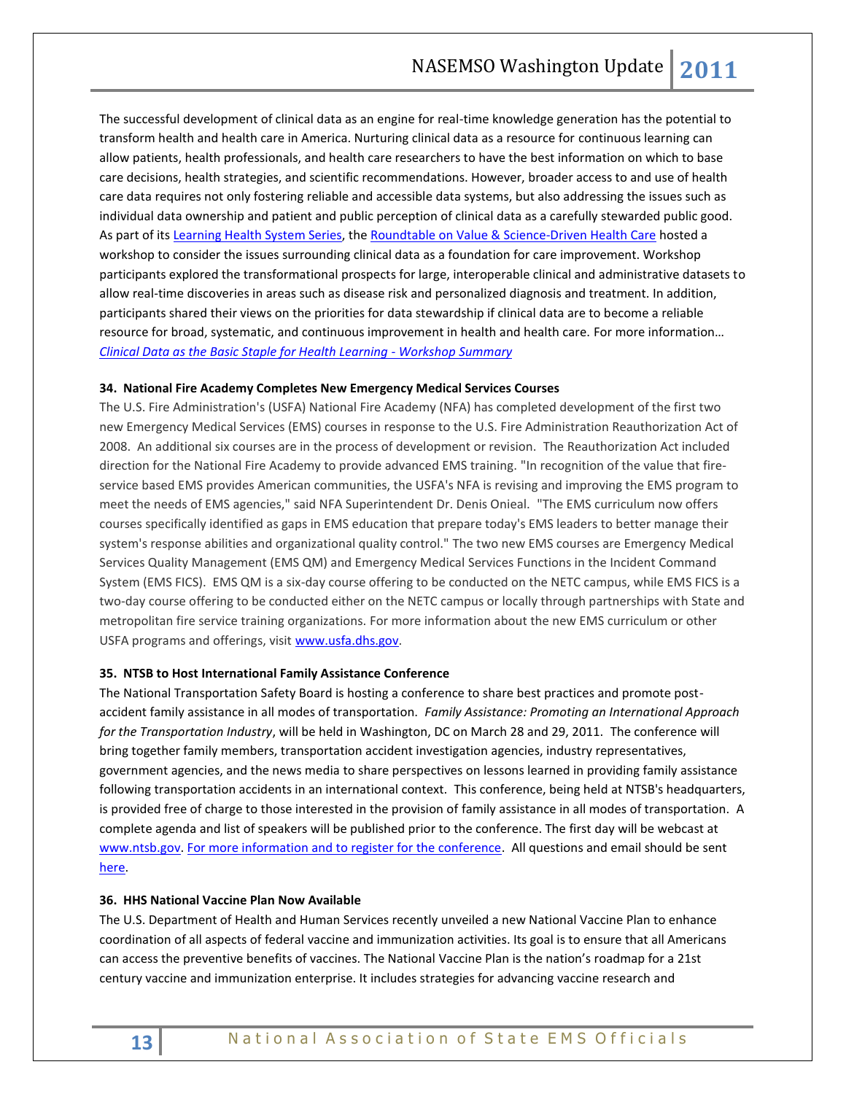The successful development of clinical data as an engine for real-time knowledge generation has the potential to transform health and health care in America. Nurturing clinical data as a resource for continuous learning can allow patients, health professionals, and health care researchers to have the best information on which to base care decisions, health strategies, and scientific recommendations. However, broader access to and use of health care data requires not only fostering reliable and accessible data systems, but also addressing the issues such as individual data ownership and patient and public perception of clinical data as a carefully stewarded public good. As part of it[s Learning Health System Series,](http://www.iom.edu/Reports/2011/~/media/Files/Activity%20Files/Quality/VSRT/Core%20Documents/Learning%20Healthcare%20System%20Series.pdf) the [Roundtable on Value & Science-Driven Health Care](http://www.iom.edu/Activities/Quality/VSRT.aspx) hosted a workshop to consider the issues surrounding clinical data as a foundation for care improvement. Workshop participants explored the transformational prospects for large, interoperable clinical and administrative datasets to allow real-time discoveries in areas such as disease risk and personalized diagnosis and treatment. In addition, participants shared their views on the priorities for data stewardship if clinical data are to become a reliable resource for broad, systematic, and continuous improvement in health and health care. For more information… *[Clinical Data as the Basic Staple for Health Learning -](http://www.iom.edu/Reports/2011/Clinical-Data-as-the-Basic-Staple-for-Health-Learning.aspx) Workshop Summary*

#### **34. National Fire Academy Completes New Emergency Medical Services Courses**

The U.S. Fire Administration's (USFA) National Fire Academy (NFA) has completed development of the first two new Emergency Medical Services (EMS) courses in response to the U.S. Fire Administration Reauthorization Act of 2008. An additional six courses are in the process of development or revision. The Reauthorization Act included direction for the National Fire Academy to provide advanced EMS training. "In recognition of the value that fireservice based EMS provides American communities, the USFA's NFA is revising and improving the EMS program to meet the needs of EMS agencies," said NFA Superintendent Dr. Denis Onieal. "The EMS curriculum now offers courses specifically identified as gaps in EMS education that prepare today's EMS leaders to better manage their system's response abilities and organizational quality control." The two new EMS courses are Emergency Medical Services Quality Management (EMS QM) and Emergency Medical Services Functions in the Incident Command System (EMS FICS). EMS QM is a six-day course offering to be conducted on the NETC campus, while EMS FICS is a two-day course offering to be conducted either on the NETC campus or locally through partnerships with State and metropolitan fire service training organizations. For more information about the new EMS curriculum or other USFA programs and offerings, visit [www.usfa.dhs.gov.](http://links.govdelivery.com/track?type=click&enid=bWFpbGluZ2lkPTExODk0NDgmbWVzc2FnZWlkPVBSRC1CVUwtMTE4OTQ0OCZkYXRhYmFzZWlkPTEwMDEmc2VyaWFsPTEyNzY1NjA3MzcmZW1haWxpZD1taGFuc2VuQGx3ZC5vcmcmdXNlcmlkPW1oYW5zZW5AbHdkLm9yZyZmbD0mZXh0cmE9TXVsdGl2YXJpYXRlSWQ9JiYm&&&102&&&http://www.usfa.dhs.gov/)

#### **35. NTSB to Host International Family Assistance Conference**

The National Transportation Safety Board is hosting a conference to share best practices and promote postaccident family assistance in all modes of transportation. *Family Assistance: Promoting an International Approach for the Transportation Industry*, will be held in Washington, DC on March 28 and 29, 2011. The conference will bring together family members, transportation accident investigation agencies, industry representatives, government agencies, and the news media to share perspectives on lessons learned in providing family assistance following transportation accidents in an international context. This conference, being held at NTSB's headquarters, is provided free of charge to those interested in the provision of family assistance in all modes of transportation. A complete agenda and list of speakers will be published prior to the conference. The first day will be webcast at [www.ntsb.gov.](http://www.ntsb.gov/) [For more information and to register for the conference.](http://www.ntsb.gov/internationalconference) All questions and email should be sent [here.](mailto:internationalconference@ntsb.gov)

#### **36. HHS National Vaccine Plan Now Available**

The U.S. Department of Health and Human Services recently unveiled a new National Vaccine Plan to enhance coordination of all aspects of federal vaccine and immunization activities. Its goal is to ensure that all Americans can access the preventive benefits of vaccines. The National Vaccine Plan is the nation's roadmap for a 21st century vaccine and immunization enterprise. It includes strategies for advancing vaccine research and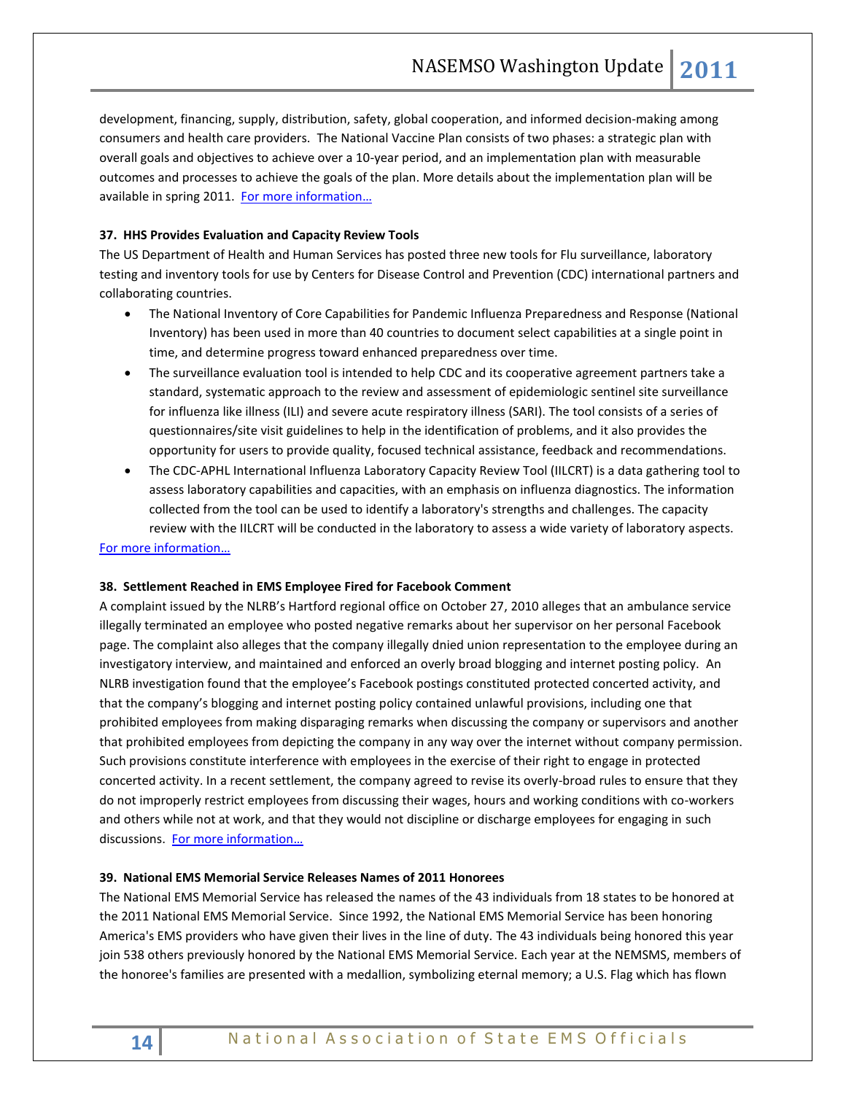development, financing, supply, distribution, safety, global cooperation, and informed decision-making among consumers and health care providers. The National Vaccine Plan consists of two phases: a strategic plan with overall goals and objectives to achieve over a 10-year period, and an implementation plan with measurable outcomes and processes to achieve the goals of the plan. More details about the implementation plan will be available in spring 2011. [For more information](http://www.hhs.gov/nvpo/vacc_plan/)...

# **37. HHS Provides Evaluation and Capacity Review Tools**

The US Department of Health and Human Services has posted three new tools for Flu surveillance, laboratory testing and inventory tools for use by Centers for Disease Control and Prevention (CDC) international partners and collaborating countries.

- The National Inventory of Core Capabilities for Pandemic Influenza Preparedness and Response (National Inventory) has been used in more than 40 countries to document select capabilities at a single point in time, and determine progress toward enhanced preparedness over time.
- The surveillance evaluation tool is intended to help CDC and its cooperative agreement partners take a standard, systematic approach to the review and assessment of epidemiologic sentinel site surveillance for influenza like illness (ILI) and severe acute respiratory illness (SARI). The tool consists of a series of questionnaires/site visit guidelines to help in the identification of problems, and it also provides the opportunity for users to provide quality, focused technical assistance, feedback and recommendations.
- The CDC-APHL International Influenza Laboratory Capacity Review Tool (IILCRT) is a data gathering tool to assess laboratory capabilities and capacities, with an emphasis on influenza diagnostics. The information collected from the tool can be used to identify a laboratory's strengths and challenges. The capacity review with the IILCRT will be conducted in the laboratory to assess a wide variety of laboratory aspects.

## [For more information](http://www.flu.gov/professional/global/intltools.html)…

#### **38. Settlement Reached in EMS Employee Fired for Facebook Comment**

A complaint issued by the NLRB's Hartford regional office on October 27, 2010 alleges that an ambulance service illegally terminated an employee who posted negative remarks about her supervisor on her personal Facebook page. The complaint also alleges that the company illegally dnied union representation to the employee during an investigatory interview, and maintained and enforced an overly broad blogging and internet posting policy. An NLRB investigation found that the employee's Facebook postings constituted protected concerted activity, and that the company's blogging and internet posting policy contained unlawful provisions, including one that prohibited employees from making disparaging remarks when discussing the company or supervisors and another that prohibited employees from depicting the company in any way over the internet without company permission. Such provisions constitute interference with employees in the exercise of their right to engage in protected concerted activity. In a recent settlement, the company agreed to revise its overly-broad rules to ensure that they do not improperly restrict employees from discussing their wages, hours and working conditions with co-workers and others while not at work, and that they would not discipline or discharge employees for engaging in such discussions. [For more information](http://www.nlrb.gov/news/settlement-reached-case-involving-discharge-facebook-comments)…

#### **39. National EMS Memorial Service Releases Names of 2011 Honorees**

The National EMS Memorial Service has released the names of the 43 individuals from 18 states to be honored at the 2011 National EMS Memorial Service. Since 1992, the National EMS Memorial Service has been honoring America's EMS providers who have given their lives in the line of duty. The 43 individuals being honored this year join 538 others previously honored by the National EMS Memorial Service. Each year at the NEMSMS, members of the honoree's families are presented with a medallion, symbolizing eternal memory; a U.S. Flag which has flown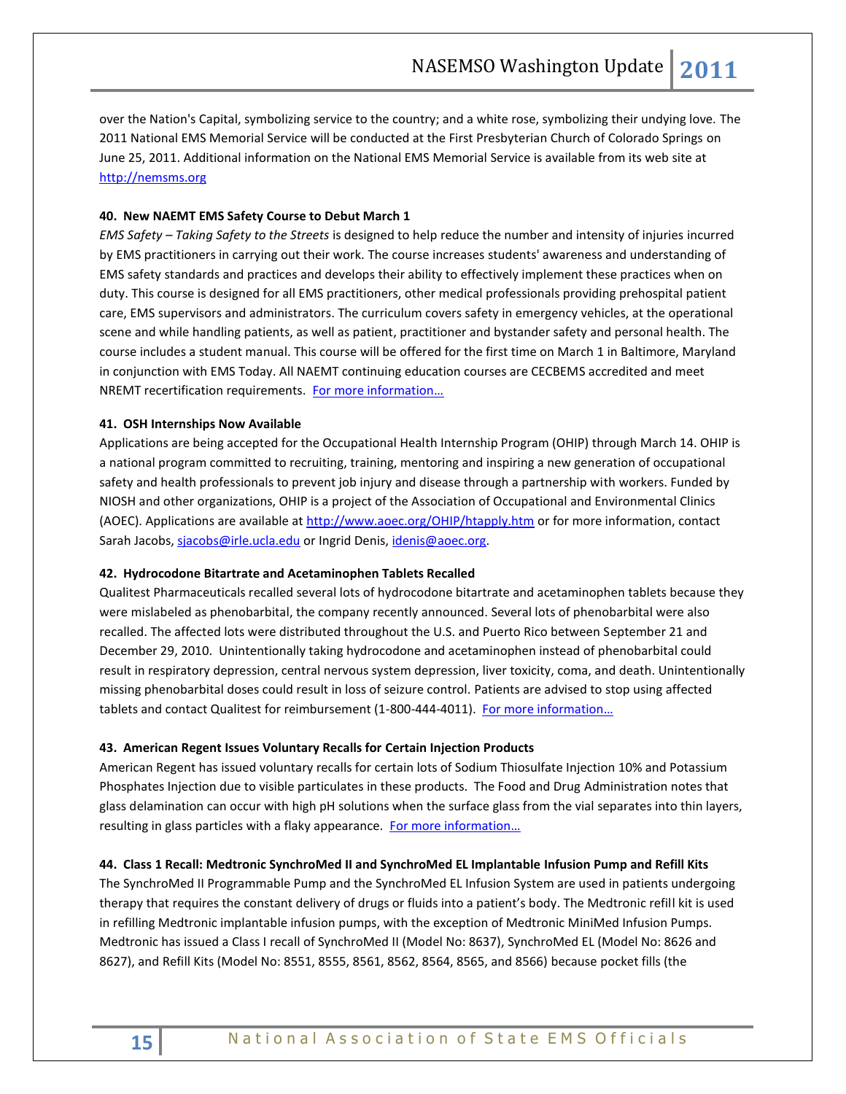over the Nation's Capital, symbolizing service to the country; and a white rose, symbolizing their undying love. The 2011 National EMS Memorial Service will be conducted at the First Presbyterian Church of Colorado Springs on June 25, 2011. Additional information on the National EMS Memorial Service is available from its web site at [http://nemsms.org](http://nemsms.org/)

# **40. New NAEMT EMS Safety Course to Debut March 1**

*EMS Safety – Taking Safety to the Streets* is designed to help reduce the number and intensity of injuries incurred by EMS practitioners in carrying out their work. The course increases students' awareness and understanding of EMS safety standards and practices and develops their ability to effectively implement these practices when on duty. This course is designed for all EMS practitioners, other medical professionals providing prehospital patient care, EMS supervisors and administrators. The curriculum covers safety in emergency vehicles, at the operational scene and while handling patients, as well as patient, practitioner and bystander safety and personal health. The course includes a student manual. This course will be offered for the first time on March 1 in Baltimore, Maryland in conjunction with EMS Today. All NAEMT continuing education courses are CECBEMS accredited and meet NREMT recertification requirements. For more information...

# **41. OSH Internships Now Available**

Applications are being accepted for the Occupational Health Internship Program (OHIP) through March 14. OHIP is a national program committed to recruiting, training, mentoring and inspiring a new generation of occupational safety and health professionals to prevent job injury and disease through a partnership with workers. Funded by NIOSH and other organizations, OHIP is a project of the Association of Occupational and Environmental Clinics (AOEC). Applications are available at [http://www.aoec.org/OHIP/htapply.htm](http://links.govdelivery.com/track?type=click&enid=bWFpbGluZ2lkPTEyMDMwNzUmbWVzc2FnZWlkPVBSRC1CVUwtMTIwMzA3NSZkYXRhYmFzZWlkPTEwMDEmc2VyaWFsPTEyNzY1NjY2NDImZW1haWxpZD1yb2JpbnNvbkBuYXNlbXNvLm9yZyZ1c2VyaWQ9cm9iaW5zb25AbmFzZW1zby5vcmcmZmw9JmV4dHJhPU11bHRpdmFyaWF0ZUlkPSYmJg==&&&112&&&http://www.aoec.org/OHIP/htapply.htm?source=govdelivery) or for more information, contact Sarah Jacobs[, sjacobs@irle.ucla.edu](mailto:sjacobs@irle.ucla.edu) or Ingrid Denis, [idenis@aoec.org.](mailto:idenis@aoec.org)

## **42. Hydrocodone Bitartrate and Acetaminophen Tablets Recalled**

Qualitest Pharmaceuticals recalled several lots of hydrocodone bitartrate and acetaminophen tablets because they were mislabeled as phenobarbital, the company recently announced. Several lots of phenobarbital were also recalled. The affected lots were distributed throughout the U.S. and Puerto Rico between September 21 and December 29, 2010. Unintentionally taking hydrocodone and acetaminophen instead of phenobarbital could result in respiratory depression, central nervous system depression, liver toxicity, coma, and death. Unintentionally missing phenobarbital doses could result in loss of seizure control. Patients are advised to stop using affected tablets and contact Qualitest for reimbursement (1-800-444-4011). For more information...

#### **43. American Regent Issues Voluntary Recalls for Certain Injection Products**

American Regent has issued voluntary recalls for certain lots of Sodium Thiosulfate Injection 10% and Potassium Phosphates Injection due to visible particulates in these products. The Food and Drug Administration notes that glass delamination can occur with high pH solutions when the surface glass from the vial separates into thin layers, resulting in glass particles with a flaky appearance. For more information...

# **44. Class 1 Recall: Medtronic SynchroMed II and SynchroMed EL Implantable Infusion Pump and Refill Kits**

The SynchroMed II Programmable Pump and the SynchroMed EL Infusion System are used in patients undergoing therapy that requires the constant delivery of drugs or fluids into a patient's body. The Medtronic refill kit is used in refilling Medtronic implantable infusion pumps, with the exception of Medtronic MiniMed Infusion Pumps. Medtronic has issued a Class I recall of SynchroMed II (Model No: 8637), SynchroMed EL (Model No: 8626 and 8627), and Refill Kits (Model No: 8551, 8555, 8561, 8562, 8564, 8565, and 8566) because pocket fills (the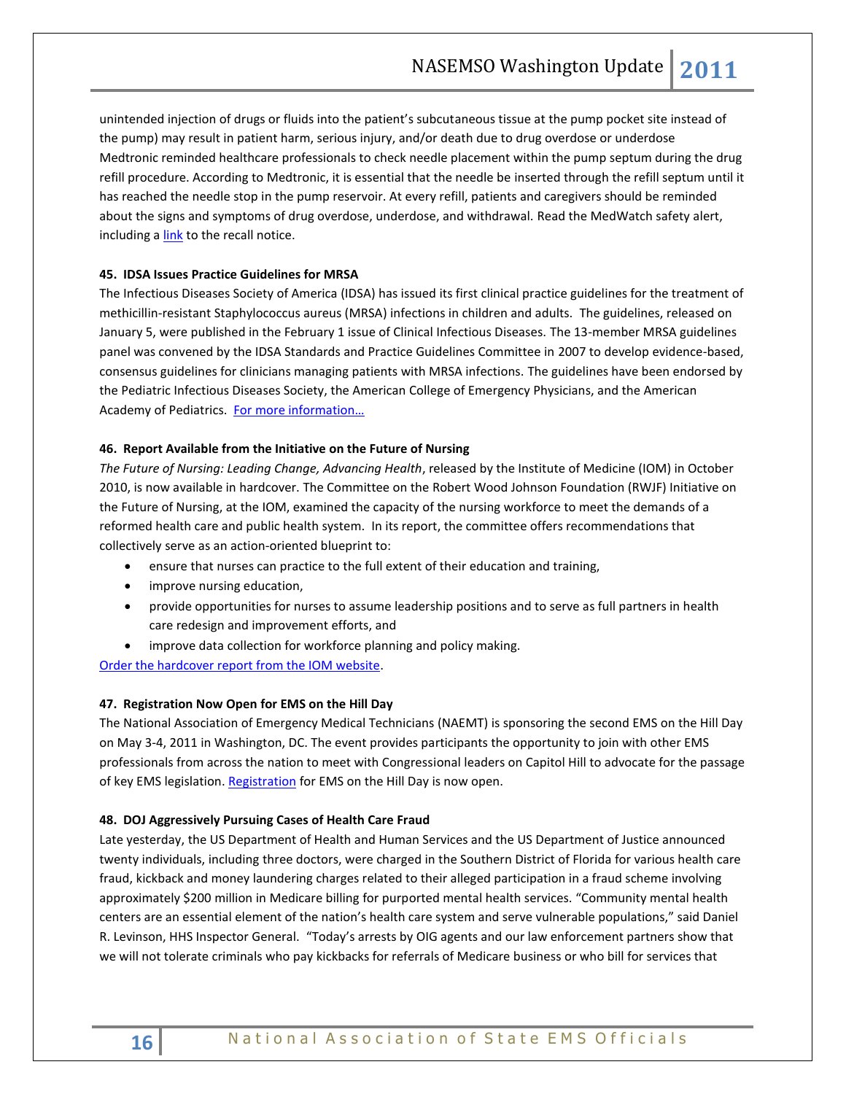unintended injection of drugs or fluids into the patient's subcutaneous tissue at the pump pocket site instead of the pump) may result in patient harm, serious injury, and/or death due to drug overdose or underdose Medtronic reminded healthcare professionals to check needle placement within the pump septum during the drug refill procedure. According to Medtronic, it is essential that the needle be inserted through the refill septum until it has reached the needle stop in the pump reservoir. At every refill, patients and caregivers should be reminded about the signs and symptoms of drug overdose, underdose, and withdrawal. Read the MedWatch safety alert, including a [link](http://www.fda.gov/Safety/MedWatch/SafetyInformation/SafetyAlertsforHumanMedicalProducts/ucm243686.htm) to the recall notice.

# **45. IDSA Issues Practice Guidelines for MRSA**

The Infectious Diseases Society of America (IDSA) has issued its first clinical practice guidelines for the treatment of methicillin-resistant Staphylococcus aureus (MRSA) infections in children and adults. The guidelines, released on January 5, were published in the February 1 issue of Clinical Infectious Diseases. The 13-member MRSA guidelines panel was convened by the IDSA Standards and Practice Guidelines Committee in 2007 to develop evidence-based, consensus guidelines for clinicians managing patients with MRSA infections. The guidelines have been endorsed by the Pediatric Infectious Diseases Society, the American College of Emergency Physicians, and the American Academy of Pediatrics. For more information...

# **46. Report Available from the Initiative on the Future of Nursing**

*The Future of Nursing: Leading Change, Advancing Health*, released by the Institute of Medicine (IOM) in October 2010, is now available in hardcover. The Committee on the Robert Wood Johnson Foundation (RWJF) Initiative on the Future of Nursing, at the IOM, examined the capacity of the nursing workforce to meet the demands of a reformed health care and public health system. In its report, the committee offers recommendations that collectively serve as an action-oriented blueprint to:

- ensure that nurses can practice to the full extent of their education and training,
- improve nursing education,
- provide opportunities for nurses to assume leadership positions and to serve as full partners in health care redesign and improvement efforts, and
- improve data collection for workforce planning and policy making.

[Order the hardcover report from the IOM website.](http://click.newsletters.nas.edu/?ju=fe35157176670479701479&ls=fdf911707461017476117171&m=fefd1276756204&l=fe9416717c61077a75&s=fe3611717062077c771670&jb=ffcf14&t=)

# **47. Registration Now Open for EMS on the Hill Day**

The National Association of Emergency Medical Technicians (NAEMT) is sponsoring the second EMS on the Hill Day on May 3-4, 2011 in Washington, DC. The event provides participants the opportunity to join with other EMS professionals from across the nation to meet with Congressional leaders on Capitol Hill to advocate for the passage of key EMS legislation[. Registration](http://www.naemt.org/advocacy/emsonthehillday/EMSontheHillDay/EMS_on_the_Hill_Registration.aspx) for EMS on the Hill Day is now open.

# **48. DOJ Aggressively Pursuing Cases of Health Care Fraud**

Late yesterday, the US Department of Health and Human Services and the US Department of Justice announced twenty individuals, including three doctors, were charged in the Southern District of Florida for various health care fraud, kickback and money laundering charges related to their alleged participation in a fraud scheme involving approximately \$200 million in Medicare billing for purported mental health services. "Community mental health centers are an essential element of the nation's health care system and serve vulnerable populations," said Daniel R. Levinson, HHS Inspector General. "Today's arrests by OIG agents and our law enforcement partners show that we will not tolerate criminals who pay kickbacks for referrals of Medicare business or who bill for services that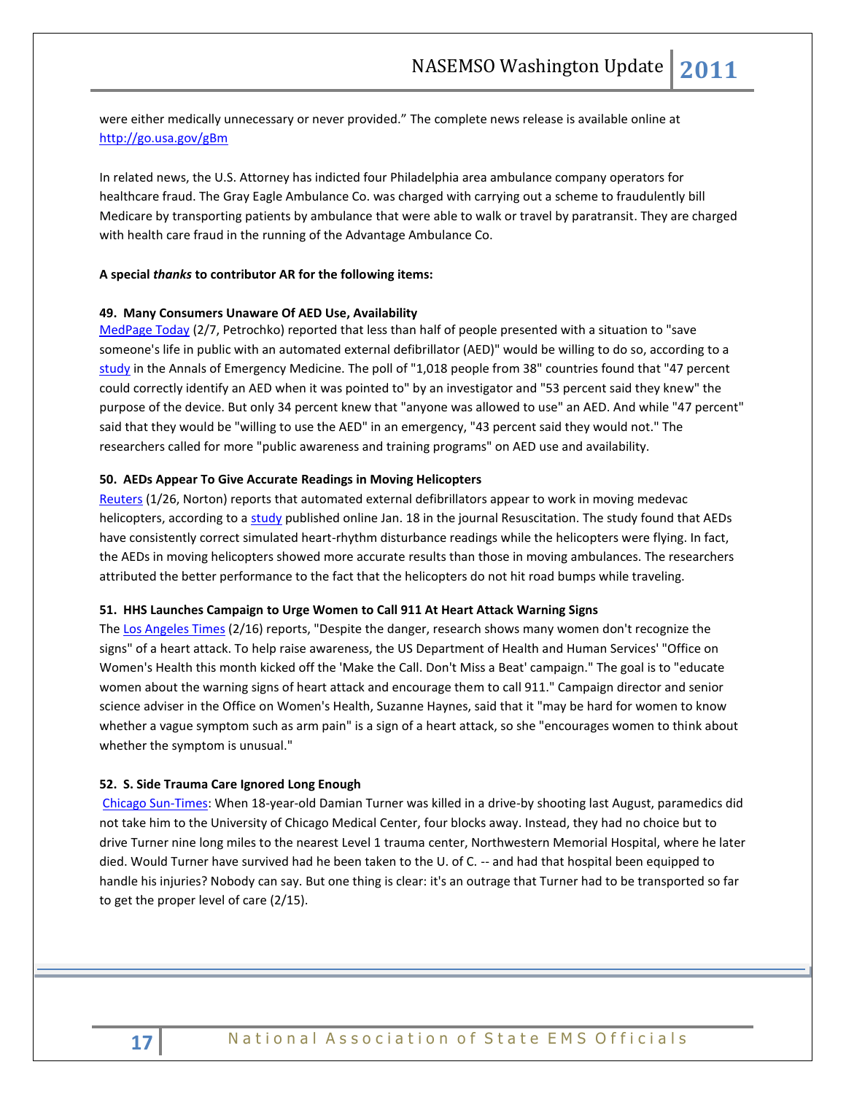were either medically unnecessary or never provided." The complete news release is available online at <http://go.usa.gov/gBm>

In related news, the U.S. Attorney has indicted four Philadelphia area ambulance company operators for healthcare fraud. The Gray Eagle Ambulance Co. was charged with carrying out a scheme to fraudulently bill Medicare by transporting patients by ambulance that were able to walk or travel by paratransit. They are charged with health care fraud in the running of the Advantage Ambulance Co.

#### **A special** *thanks* **to contributor AR for the following items:**

#### **49. Many Consumers Unaware Of AED Use, Availability**

[MedPage Today](http://mailview.custombriefings.com/mailview.aspx?m=2011020801acep&r=seed_4966382-7554&l=001-36d&t=c) (2/7, Petrochko) reported that less than half of people presented with a situation to "save someone's life in public with an automated external defibrillator (AED)" would be willing to do so, according to a [study](http://mailview.custombriefings.com/mailview.aspx?m=2011020801acep&r=seed_4966382-7554&l=002-2a3&t=c) in the Annals of Emergency Medicine. The poll of "1,018 people from 38" countries found that "47 percent could correctly identify an AED when it was pointed to" by an investigator and "53 percent said they knew" the purpose of the device. But only 34 percent knew that "anyone was allowed to use" an AED. And while "47 percent" said that they would be "willing to use the AED" in an emergency, "43 percent said they would not." The researchers called for more "public awareness and training programs" on AED use and availability.

#### **50. AEDs Appear To Give Accurate Readings in Moving Helicopters**

[Reuters](http://mailview.custombriefings.com/mailview.aspx?m=2011012601acep&r=seed_4966382-aa6c&l=007-3fb&t=c) (1/26, Norton) reports that automated external defibrillators appear to work in moving medevac helicopters, according to a [study](http://mailview.custombriefings.com/mailview.aspx?m=2011012601acep&r=seed_4966382-aa6c&l=008-b3c&t=c) published online Jan. 18 in the journal Resuscitation. The study found that AEDs have consistently correct simulated heart-rhythm disturbance readings while the helicopters were flying. In fact, the AEDs in moving helicopters showed more accurate results than those in moving ambulances. The researchers attributed the better performance to the fact that the helicopters do not hit road bumps while traveling.

#### **51. HHS Launches Campaign to Urge Women to Call 911 At Heart Attack Warning Signs**

Th[e Los Angeles Times](http://mailview.custombriefings.com/mailview.aspx?m=2011021601acep&r=seed_4966382-b1f0&l=002-4f8&t=c) (2/16) reports, "Despite the danger, research shows many women don't recognize the signs" of a heart attack. To help raise awareness, the US Department of Health and Human Services' "Office on Women's Health this month kicked off the 'Make the Call. Don't Miss a Beat' campaign." The goal is to "educate women about the warning signs of heart attack and encourage them to call 911." Campaign director and senior science adviser in the Office on Women's Health, Suzanne Haynes, said that it "may be hard for women to know whether a vague symptom such as arm pain" is a sign of a heart attack, so she "encourages women to think about whether the symptom is unusual."

#### **52. S. Side Trauma Care Ignored Long Enough**

[Chicago Sun-Times:](http://www.suntimes.com/opinions/3817174-474/editorial-s.-side-trauma-care-ignored-long-enough) When 18-year-old Damian Turner was killed in a drive-by shooting last August, paramedics did not take him to the University of Chicago Medical Center, four blocks away. Instead, they had no choice but to drive Turner nine long miles to the nearest Level 1 trauma center, Northwestern Memorial Hospital, where he later died. Would Turner have survived had he been taken to the U. of C. -- and had that hospital been equipped to handle his injuries? Nobody can say. But one thing is clear: it's an outrage that Turner had to be transported so far to get the proper level of care (2/15).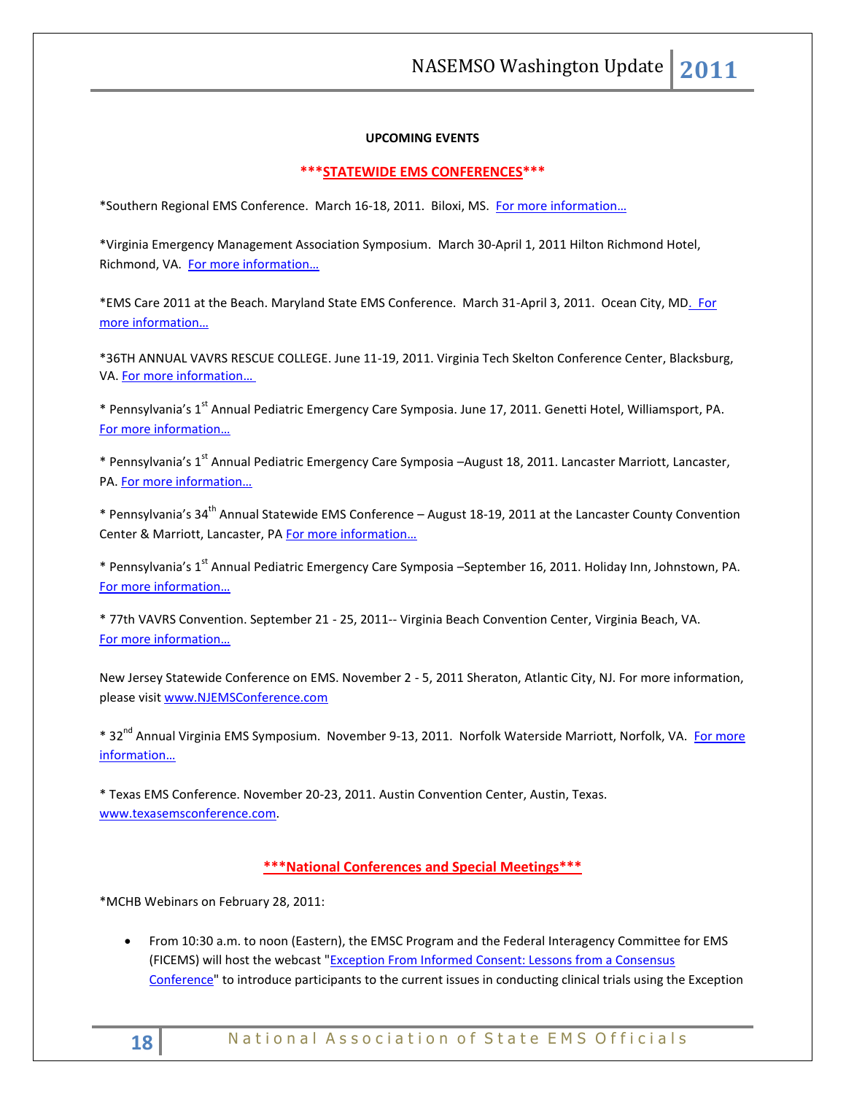# **UPCOMING EVENTS**

## **\*\*\*STATEWIDE EMS CONFERENCES\*\*\***

\*Southern Regional EMS Conference. March 16-18, 2011. Biloxi, MS. [For more information…](http://www.louisianaambulancealliance.org/)

\*Virginia Emergency Management Association Symposium. March 30-April 1, 2011 Hilton Richmond Hotel, Richmond, VA. [For more information…](http://www.vemaweb.org/)

\*EMS Care 2011 at the Beach. Maryland State EMS Conference. March 31-April 3, 2011. Ocean City, MD. For [more information…](http://www.miemss.org/)

\*36TH ANNUAL VAVRS RESCUE COLLEGE. June 11-19, 2011. Virginia Tech Skelton Conference Center, Blacksburg, VA. [For more information…](http://www.vavrs.com/) 

\* Pennsylvania's 1<sup>st</sup> Annual Pediatric Emergency Care Symposia. June 17, 2011. Genetti Hotel, Williamsport, PA. [For more information…](http://www.pehsc.org/)

\* Pennsylvania's 1<sup>st</sup> Annual Pediatric Emergency Care Symposia –August 18, 2011. Lancaster Marriott, Lancaster, PA. [For more information…](http://www.pehsc.org/)

\* Pennsylvania's 34th Annual Statewide EMS Conference – August 18-19, 2011 at the Lancaster County Convention Center & Marriott, Lancaster, PA For more information...

\* Pennsylvania's 1<sup>st</sup> Annual Pediatric Emergency Care Symposia –September 16, 2011. Holiday Inn, Johnstown, PA. [For more information…](http://www.pehsc.org/)

\* 77th VAVRS Convention. September 21 - 25, 2011-- Virginia Beach Convention Center, Virginia Beach, VA. [For more information…](http://www.vavrs.com/)

New Jersey Statewide Conference on EMS. November 2 - 5, 2011 Sheraton, Atlantic City, NJ. For more information, please visit [www.NJEMSConference.com](http://www.njemsconference.com/)

\* 32<sup>nd</sup> Annual Virginia EMS Symposium. November 9-13, 2011. Norfolk Waterside Marriott, Norfolk, VA. For more [information…](http://www.vdh.virginia.gov/oems)

\* Texas EMS Conference. November 20-23, 2011. Austin Convention Center, Austin, Texas. [www.texasemsconference.com.](http://www.texasemsconference.com/)

# **\*\*\*National Conferences and Special Meetings\*\*\***

\*MCHB Webinars on February 28, 2011:

 From 10:30 a.m. to noon (Eastern), the EMSC Program and the Federal Interagency Committee for EMS (FICEMS) will host the webcast ["Exception From Informed Consent: Lessons from a Consensus](http://www.mchcom.com/LiveWebcastDetail.asp?leid=450)  [Conference"](http://www.mchcom.com/LiveWebcastDetail.asp?leid=450) to introduce participants to the current issues in conducting clinical trials using the Exception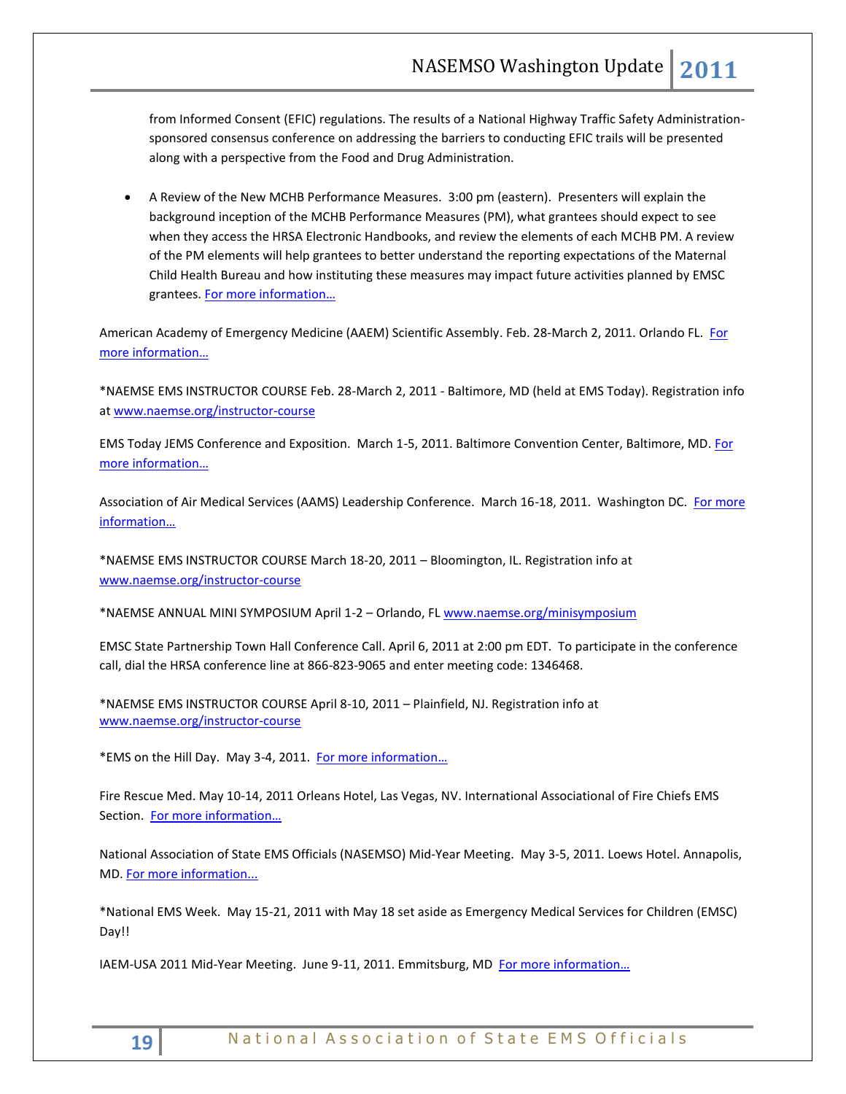from Informed Consent (EFIC) regulations. The results of a National Highway Traffic Safety Administrationsponsored consensus conference on addressing the barriers to conducting EFIC trails will be presented along with a perspective from the Food and Drug Administration.

 A Review of the New MCHB Performance Measures. 3:00 pm (eastern). Presenters will explain the background inception of the MCHB Performance Measures (PM), what grantees should expect to see when they access the HRSA Electronic Handbooks, and review the elements of each MCHB PM. A review of the PM elements will help grantees to better understand the reporting expectations of the Maternal Child Health Bureau and how instituting these measures may impact future activities planned by EMSC grantees. [For more information…](http://www.mchcom.com/LiveWebcastDetail.asp?leid=460)

American Academy of Emergency Medicine (AAEM) Scientific Assembly. Feb. 28-March 2, 2011. Orlando FL. For [more information…](http://www.aaem.org/education/scientificassembly/)

\*NAEMSE EMS INSTRUCTOR COURSE Feb. 28-March 2, 2011 - Baltimore, MD (held at EMS Today). Registration info a[t www.naemse.org/instructor-course](http://www.naemse.org/instructor-course)

EMS Today JEMS Conference and Exposition. March 1-5, 2011. Baltimore Convention Center, Baltimore, MD[. For](http://www.emstoday.com/)  [more information…](http://www.emstoday.com/)

Association of Air Medical Services (AAMS) Leadership Conference. March 16-18, 2011. Washington DC. For more [information…](http://www.aams.org/)

\*NAEMSE EMS INSTRUCTOR COURSE March 18-20, 2011 – Bloomington, IL. Registration info at [www.naemse.org/instructor-course](http://www.naemse.org/instructor-course)

\*NAEMSE ANNUAL MINI SYMPOSIUM April 1-2 – Orlando, FL [www.naemse.org/minisymposium](http://www.naemse.org/minisymposium)

EMSC State Partnership Town Hall Conference Call. April 6, 2011 at 2:00 pm EDT. To participate in the conference call, dial the HRSA conference line at 866-823-9065 and enter meeting code: 1346468.

\*NAEMSE EMS INSTRUCTOR COURSE April 8-10, 2011 – Plainfield, NJ. Registration info at [www.naemse.org/instructor-course](http://www.naemse.org/instructor-course)

\*EMS on the Hill Day. May 3-4, 2011. [For more information](http://www.naemt.org/)…

Fire Rescue Med. May 10-14, 2011 Orleans Hotel, Las Vegas, NV. International Associational of Fire Chiefs EMS Section. [For more information…](http://www.iafc.org/displaycommon.cfm?an=1&subarticlenbr=6)

National Association of State EMS Officials (NASEMSO) Mid-Year Meeting. May 3-5, 2011. Loews Hotel. Annapolis, MD[. For more information...](http://www.nasemso.org/)

\*National EMS Week. May 15-21, 2011 with May 18 set aside as Emergency Medical Services for Children (EMSC) Day!!

IAEM-USA 2011 Mid-Year Meeting. June 9-11, 2011. Emmitsburg, MD For more information...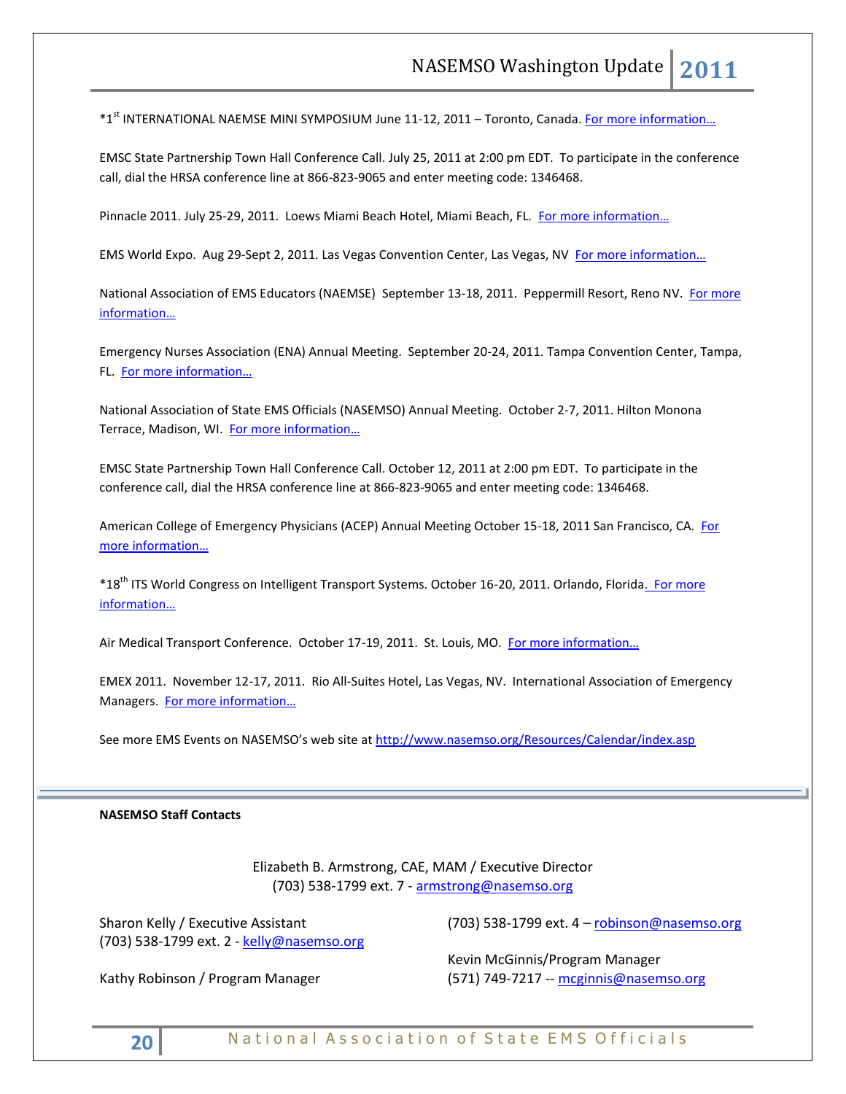\*1<sup>st</sup> INTERNATIONAL NAEMSE MINI SYMPOSIUM June 11-12, 2011 – Toronto, Canada. For more information...

EMSC State Partnership Town Hall Conference Call. July 25, 2011 at 2:00 pm EDT. To participate in the conference call, dial the HRSA conference line at 866-823-9065 and enter meeting code: 1346468.

Pinnacle 2011. July 25-29, 2011. Loews Miami Beach Hotel, Miami Beach, FL. For more information...

EMS World Expo. Aug 29-Sept 2, 2011. Las Vegas Convention Center, Las Vegas, NV [For more information…](http://www.publicsafetyevents.com/index.po)

National Association of EMS Educators (NAEMSE) September 13-18, 2011. Peppermill Resort, Reno NV. For more [informatio](http://www.naemse.org/symposium)n…

Emergency Nurses Association (ENA) Annual Meeting. September 20-24, 2011. Tampa Convention Center, Tampa, FL. [For more information…](http://www.ena.org/Pages/default.aspx)

National Association of State EMS Officials (NASEMSO) Annual Meeting. October 2-7, 2011. Hilton Monona Terrace, Madison, WI. [For more information…](http://www.nasemso.org/)

EMSC State Partnership Town Hall Conference Call. October 12, 2011 at 2:00 pm EDT. To participate in the conference call, dial the HRSA conference line at 866-823-9065 and enter meeting code: 1346468.

American College of Emergency Physicians (ACEP) Annual Meeting October 15-18, 2011 San Francisco, CA. [For](http://www.acep.org/)  [more information…](http://www.acep.org/)

\*18<sup>th</sup> ITS World Congress on Intelligent Transport Systems. October 16-20, 2011. Orlando, Florida. For more [information…](http://www.itsworldcongress.org/)

Air Medical Transport Conference. October 17-19, 2011. St. Louis, MO. For more information...

EMEX 2011. November 12-17, 2011. Rio All-Suites Hotel, Las Vegas, NV. International Association of Emergency Managers. [For more information…](http://www.iaem.com/)

See more EMS Events on NASEMSO's web site at<http://www.nasemso.org/Resources/Calendar/index.asp>

# **NASEMSO Staff Contacts**

Elizabeth B. Armstrong, CAE, MAM / Executive Director (703) 538-1799 ext. 7 - [armstrong@nasemso.org](mailto:armstrong@nasemso.org)

Sharon Kelly / Executive Assistant (703) 538-1799 ext. 2 - [kelly@nasemso.org](mailto:kelly@nasemso.org)

Kathy Robinson / Program Manager

(703) 538-1799 ext. 4 - [robinson@nasemso.org](mailto:robinson@nasemso.org)

Kevin McGinnis/Program Manager (571) 749-7217 -- [mcginnis@nasemso.org](mailto:mcginnis@nasemso.org)